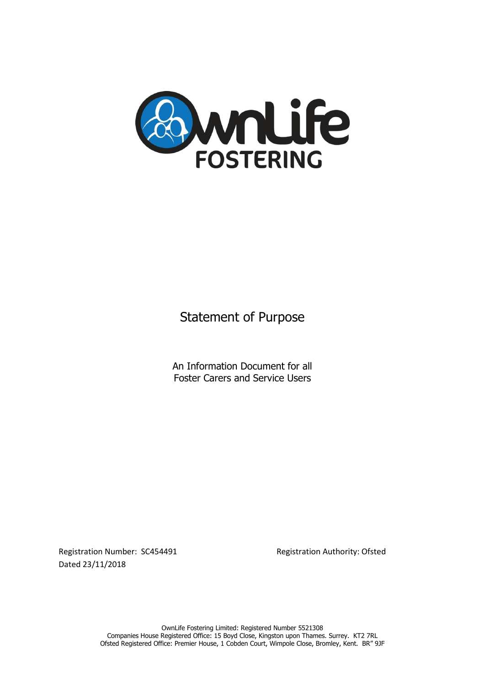

Statement of Purpose

An Information Document for all Foster Carers and Service Users

Registration Number: SC454491 Registration Authority: Ofsted Dated 23/11/2018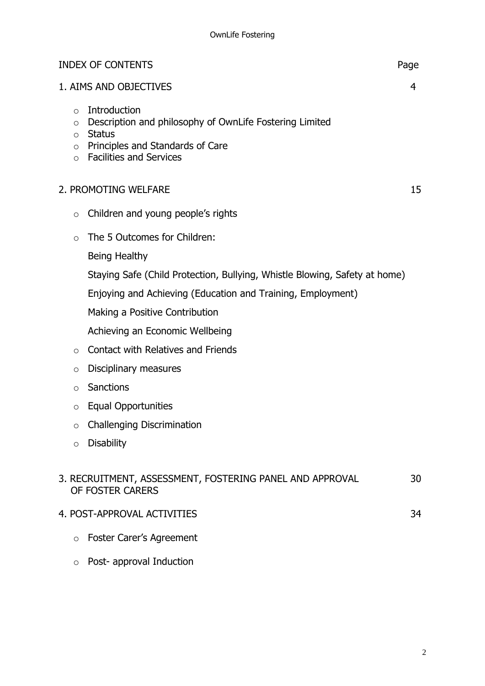| <b>INDEX OF CONTENTS</b> | Page |
|--------------------------|------|
|                          |      |

### 1. AIMS AND OBJECTIVES 4

- o Introduction
- o Description and philosophy of OwnLife Fostering Limited
- o Status
- o Principles and Standards of Care
- o Facilities and Services

### 2. PROMOTING WELFARE 15

- o Children and young people's rights
- o The 5 Outcomes for Children:
	- Being Healthy
	- Staying Safe (Child Protection, Bullying, Whistle Blowing, Safety at home)

Enjoying and Achieving (Education and Training, Employment)

Making a Positive Contribution

Achieving an Economic Wellbeing

- $\circ$  Contact with Relatives and Friends
- o Disciplinary measures
- o Sanctions
- o Equal Opportunities
- o Challenging Discrimination
- o Disability

# 3. RECRUITMENT, ASSESSMENT, FOSTERING PANEL AND APPROVAL 30 OF FOSTER CARERS

- 4. POST-APPROVAL ACTIVITIES 34
	- o Foster Carer's Agreement
	- o Post- approval Induction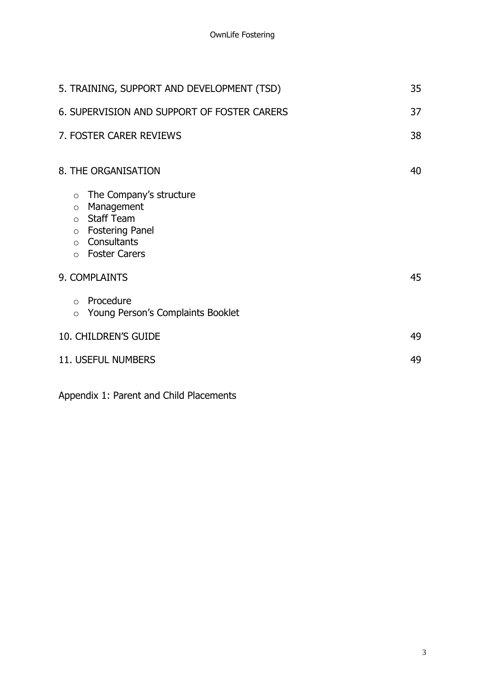| 5. TRAINING, SUPPORT AND DEVELOPMENT (TSD)                                                                                                                                                    |    |
|-----------------------------------------------------------------------------------------------------------------------------------------------------------------------------------------------|----|
| 6. SUPERVISION AND SUPPORT OF FOSTER CARERS                                                                                                                                                   |    |
| 7. FOSTER CARER REVIEWS                                                                                                                                                                       | 38 |
| 8. THE ORGANISATION                                                                                                                                                                           | 40 |
| The Company's structure<br>$\circ$<br>Management<br>$\circ$<br><b>Staff Team</b><br>$\circ$<br><b>Fostering Panel</b><br>$\circ$<br>Consultants<br>$\circ$<br><b>Foster Carers</b><br>$\circ$ |    |
| 9. COMPLAINTS                                                                                                                                                                                 |    |
| Procedure<br>$\circ$<br>Young Person's Complaints Booklet<br>$\circ$                                                                                                                          |    |
| <b>10. CHILDREN'S GUIDE</b>                                                                                                                                                                   | 49 |
| <b>11. USEFUL NUMBERS</b>                                                                                                                                                                     | 49 |
|                                                                                                                                                                                               |    |

Appendix 1: Parent and Child Placements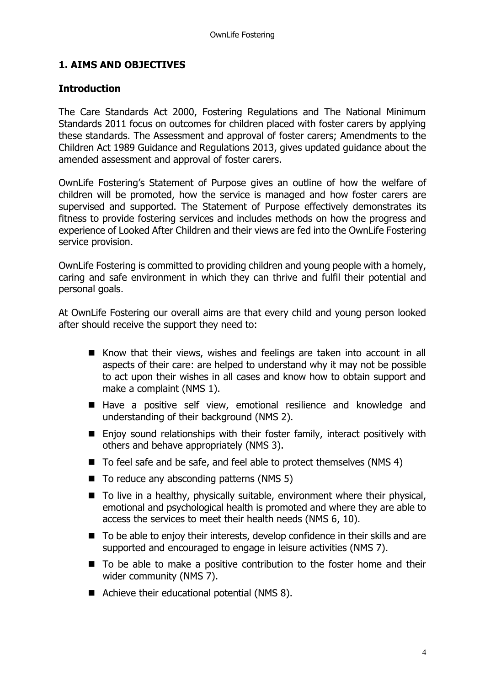## **1. AIMS AND OBJECTIVES**

## **Introduction**

The Care Standards Act 2000, Fostering Regulations and The National Minimum Standards 2011 focus on outcomes for children placed with foster carers by applying these standards. The Assessment and approval of foster carers; Amendments to the Children Act 1989 Guidance and Regulations 2013, gives updated guidance about the amended assessment and approval of foster carers.

OwnLife Fostering's Statement of Purpose gives an outline of how the welfare of children will be promoted, how the service is managed and how foster carers are supervised and supported. The Statement of Purpose effectively demonstrates its fitness to provide fostering services and includes methods on how the progress and experience of Looked After Children and their views are fed into the OwnLife Fostering service provision.

OwnLife Fostering is committed to providing children and young people with a homely, caring and safe environment in which they can thrive and fulfil their potential and personal goals.

At OwnLife Fostering our overall aims are that every child and young person looked after should receive the support they need to:

- Know that their views, wishes and feelings are taken into account in all aspects of their care: are helped to understand why it may not be possible to act upon their wishes in all cases and know how to obtain support and make a complaint (NMS 1).
- Have a positive self view, emotional resilience and knowledge and understanding of their background (NMS 2).
- Enjoy sound relationships with their foster family, interact positively with others and behave appropriately (NMS 3).
- To feel safe and be safe, and feel able to protect themselves (NMS 4)
- $\blacksquare$  To reduce any absconding patterns (NMS 5)
- To live in a healthy, physically suitable, environment where their physical, emotional and psychological health is promoted and where they are able to access the services to meet their health needs (NMS 6, 10).
- To be able to enjoy their interests, develop confidence in their skills and are supported and encouraged to engage in leisure activities (NMS 7).
- To be able to make a positive contribution to the foster home and their wider community (NMS 7).
- Achieve their educational potential (NMS 8).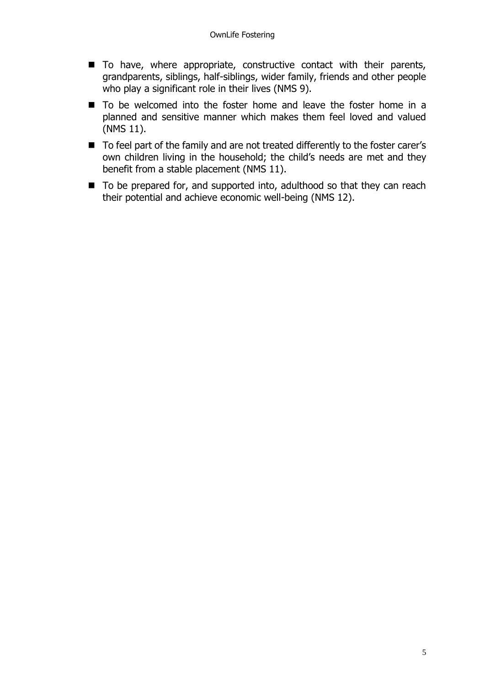- To have, where appropriate, constructive contact with their parents, grandparents, siblings, half-siblings, wider family, friends and other people who play a significant role in their lives (NMS 9).
- To be welcomed into the foster home and leave the foster home in a planned and sensitive manner which makes them feel loved and valued (NMS 11).
- To feel part of the family and are not treated differently to the foster carer's own children living in the household; the child's needs are met and they benefit from a stable placement (NMS 11).
- To be prepared for, and supported into, adulthood so that they can reach their potential and achieve economic well-being (NMS 12).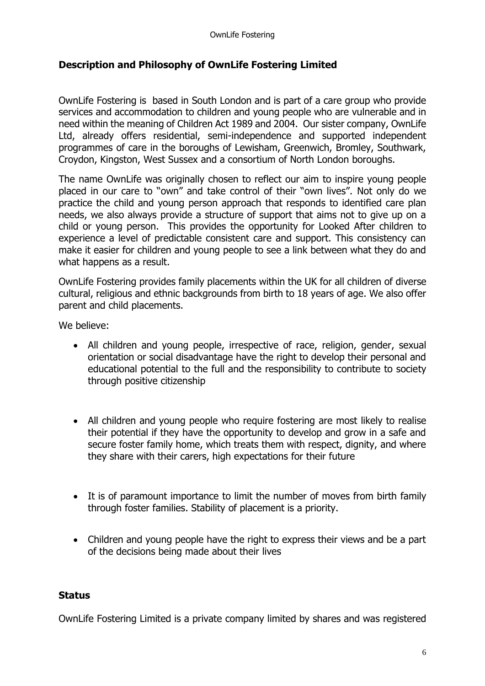## **Description and Philosophy of OwnLife Fostering Limited**

OwnLife Fostering is based in South London and is part of a care group who provide services and accommodation to children and young people who are vulnerable and in need within the meaning of Children Act 1989 and 2004. Our sister company, OwnLife Ltd, already offers residential, semi-independence and supported independent programmes of care in the boroughs of Lewisham, Greenwich, Bromley, Southwark, Croydon, Kingston, West Sussex and a consortium of North London boroughs.

The name OwnLife was originally chosen to reflect our aim to inspire young people placed in our care to "own" and take control of their "own lives". Not only do we practice the child and young person approach that responds to identified care plan needs, we also always provide a structure of support that aims not to give up on a child or young person. This provides the opportunity for Looked After children to experience a level of predictable consistent care and support. This consistency can make it easier for children and young people to see a link between what they do and what happens as a result.

OwnLife Fostering provides family placements within the UK for all children of diverse cultural, religious and ethnic backgrounds from birth to 18 years of age. We also offer parent and child placements.

We believe:

- All children and young people, irrespective of race, religion, gender, sexual orientation or social disadvantage have the right to develop their personal and educational potential to the full and the responsibility to contribute to society through positive citizenship
- All children and young people who require fostering are most likely to realise their potential if they have the opportunity to develop and grow in a safe and secure foster family home, which treats them with respect, dignity, and where they share with their carers, high expectations for their future
- It is of paramount importance to limit the number of moves from birth family through foster families. Stability of placement is a priority.
- Children and young people have the right to express their views and be a part of the decisions being made about their lives

## **Status**

OwnLife Fostering Limited is a private company limited by shares and was registered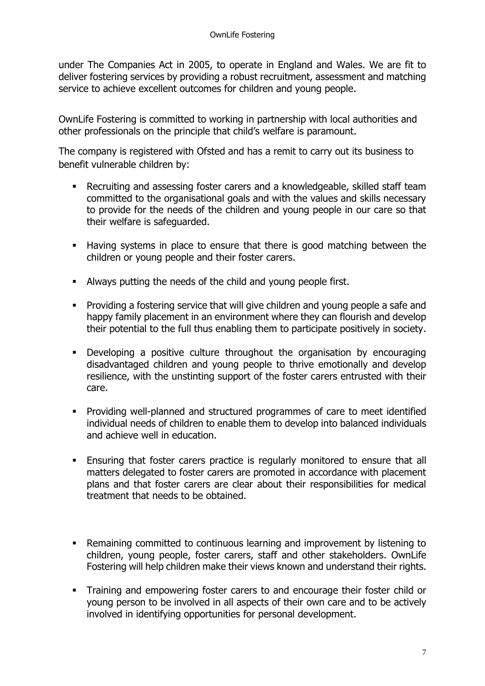under The Companies Act in 2005, to operate in England and Wales. We are fit to deliver fostering services by providing a robust recruitment, assessment and matching service to achieve excellent outcomes for children and young people.

OwnLife Fostering is committed to working in partnership with local authorities and other professionals on the principle that child's welfare is paramount.

The company is registered with Ofsted and has a remit to carry out its business to benefit vulnerable children by:

- Recruiting and assessing foster carers and a knowledgeable, skilled staff team committed to the organisational goals and with the values and skills necessary to provide for the needs of the children and young people in our care so that their welfare is safeguarded.
- Having systems in place to ensure that there is good matching between the children or young people and their foster carers.
- Always putting the needs of the child and young people first.
- Providing a fostering service that will give children and young people a safe and happy family placement in an environment where they can flourish and develop their potential to the full thus enabling them to participate positively in society.
- Developing a positive culture throughout the organisation by encouraging disadvantaged children and young people to thrive emotionally and develop resilience, with the unstinting support of the foster carers entrusted with their care.
- Providing well-planned and structured programmes of care to meet identified individual needs of children to enable them to develop into balanced individuals and achieve well in education.
- **Ensuring that foster carers practice is regularly monitored to ensure that all** matters delegated to foster carers are promoted in accordance with placement plans and that foster carers are clear about their responsibilities for medical treatment that needs to be obtained.
- Remaining committed to continuous learning and improvement by listening to children, young people, foster carers, staff and other stakeholders. OwnLife Fostering will help children make their views known and understand their rights.
- **•** Training and empowering foster carers to and encourage their foster child or young person to be involved in all aspects of their own care and to be actively involved in identifying opportunities for personal development.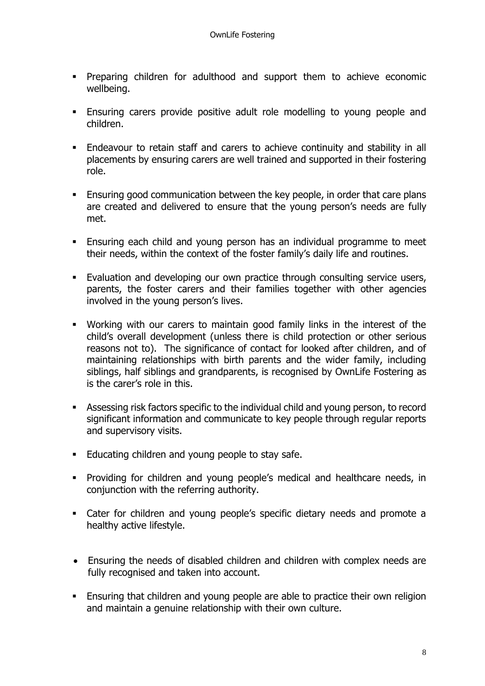- **•** Preparing children for adulthood and support them to achieve economic wellbeing.
- **Ensuring carers provide positive adult role modelling to voung people and** children.
- Endeavour to retain staff and carers to achieve continuity and stability in all placements by ensuring carers are well trained and supported in their fostering role.
- **Ensuring good communication between the key people, in order that care plans** are created and delivered to ensure that the young person's needs are fully met.
- Ensuring each child and young person has an individual programme to meet their needs, within the context of the foster family's daily life and routines.
- **Evaluation and developing our own practice through consulting service users,** parents, the foster carers and their families together with other agencies involved in the young person's lives.
- Working with our carers to maintain good family links in the interest of the child's overall development (unless there is child protection or other serious reasons not to). The significance of contact for looked after children, and of maintaining relationships with birth parents and the wider family, including siblings, half siblings and grandparents, is recognised by OwnLife Fostering as is the carer's role in this.
- **EXECT** Assessing risk factors specific to the individual child and young person, to record significant information and communicate to key people through regular reports and supervisory visits.
- Educating children and young people to stay safe.
- Providing for children and young people's medical and healthcare needs, in conjunction with the referring authority.
- Cater for children and young people's specific dietary needs and promote a healthy active lifestyle.
- Ensuring the needs of disabled children and children with complex needs are fully recognised and taken into account.
- **Ensuring that children and young people are able to practice their own religion** and maintain a genuine relationship with their own culture.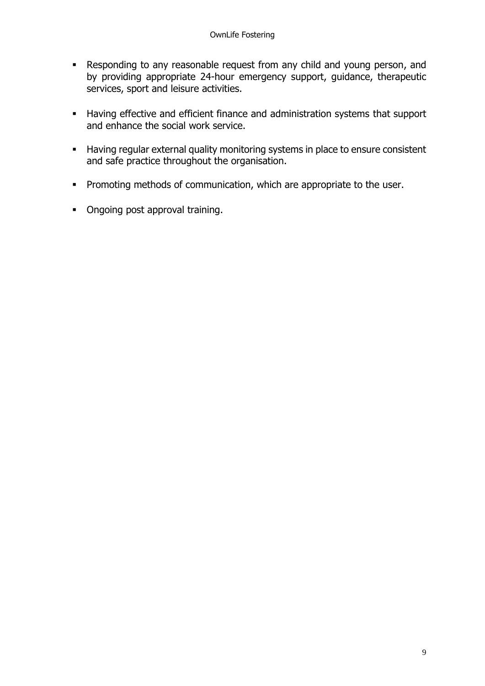- Responding to any reasonable request from any child and young person, and by providing appropriate 24-hour emergency support, guidance, therapeutic services, sport and leisure activities.
- Having effective and efficient finance and administration systems that support and enhance the social work service.
- Having regular external quality monitoring systems in place to ensure consistent and safe practice throughout the organisation.
- **•** Promoting methods of communication, which are appropriate to the user.
- Ongoing post approval training.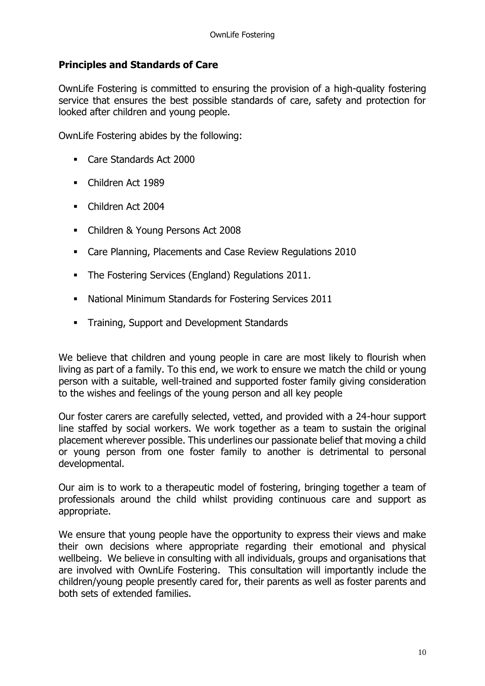## **Principles and Standards of Care**

OwnLife Fostering is committed to ensuring the provision of a high-quality fostering service that ensures the best possible standards of care, safety and protection for looked after children and young people.

OwnLife Fostering abides by the following:

- Care Standards Act 2000
- Children Act 1989
- Children Act 2004
- Children & Young Persons Act 2008
- Care Planning, Placements and Case Review Regulations 2010
- The Fostering Services (England) Regulations 2011.
- National Minimum Standards for Fostering Services 2011
- **EXECUTE:** Training, Support and Development Standards

We believe that children and young people in care are most likely to flourish when living as part of a family. To this end, we work to ensure we match the child or young person with a suitable, well-trained and supported foster family giving consideration to the wishes and feelings of the young person and all key people

Our foster carers are carefully selected, vetted, and provided with a 24-hour support line staffed by social workers. We work together as a team to sustain the original placement wherever possible. This underlines our passionate belief that moving a child or young person from one foster family to another is detrimental to personal developmental.

Our aim is to work to a therapeutic model of fostering, bringing together a team of professionals around the child whilst providing continuous care and support as appropriate.

We ensure that young people have the opportunity to express their views and make their own decisions where appropriate regarding their emotional and physical wellbeing. We believe in consulting with all individuals, groups and organisations that are involved with OwnLife Fostering. This consultation will importantly include the children/young people presently cared for, their parents as well as foster parents and both sets of extended families.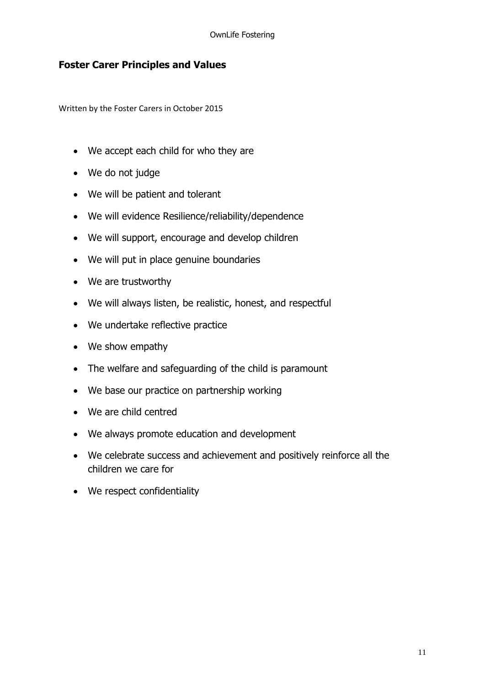## **Foster Carer Principles and Values**

Written by the Foster Carers in October 2015

- We accept each child for who they are
- We do not judge
- We will be patient and tolerant
- We will evidence Resilience/reliability/dependence
- We will support, encourage and develop children
- We will put in place genuine boundaries
- We are trustworthy
- We will always listen, be realistic, honest, and respectful
- We undertake reflective practice
- We show empathy
- The welfare and safeguarding of the child is paramount
- We base our practice on partnership working
- We are child centred
- We always promote education and development
- We celebrate success and achievement and positively reinforce all the children we care for
- We respect confidentiality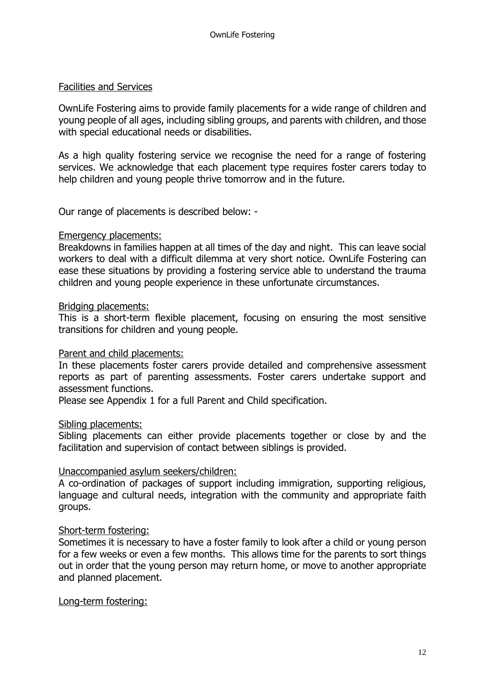#### Facilities and Services

OwnLife Fostering aims to provide family placements for a wide range of children and young people of all ages, including sibling groups, and parents with children, and those with special educational needs or disabilities.

As a high quality fostering service we recognise the need for a range of fostering services. We acknowledge that each placement type requires foster carers today to help children and young people thrive tomorrow and in the future.

Our range of placements is described below: -

### Emergency placements:

Breakdowns in families happen at all times of the day and night. This can leave social workers to deal with a difficult dilemma at very short notice. OwnLife Fostering can ease these situations by providing a fostering service able to understand the trauma children and young people experience in these unfortunate circumstances.

### Bridging placements:

This is a short-term flexible placement, focusing on ensuring the most sensitive transitions for children and young people.

### Parent and child placements:

In these placements foster carers provide detailed and comprehensive assessment reports as part of parenting assessments. Foster carers undertake support and assessment functions.

Please see Appendix 1 for a full Parent and Child specification.

#### Sibling placements:

Sibling placements can either provide placements together or close by and the facilitation and supervision of contact between siblings is provided.

### Unaccompanied asylum seekers/children:

A co-ordination of packages of support including immigration, supporting religious, language and cultural needs, integration with the community and appropriate faith groups.

### Short-term fostering:

Sometimes it is necessary to have a foster family to look after a child or young person for a few weeks or even a few months. This allows time for the parents to sort things out in order that the young person may return home, or move to another appropriate and planned placement.

#### Long-term fostering: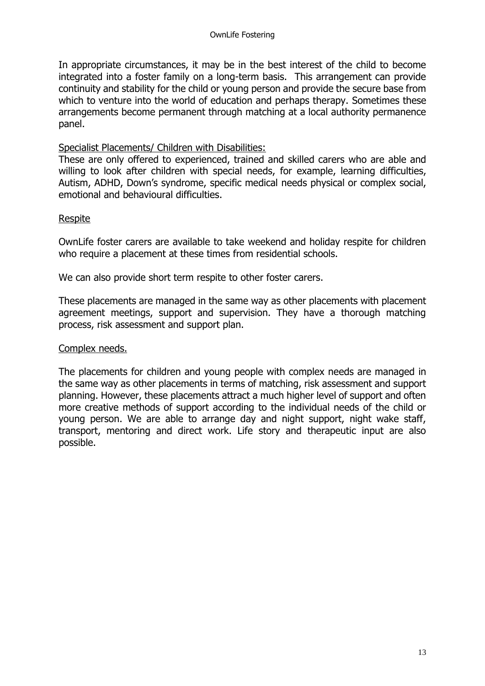In appropriate circumstances, it may be in the best interest of the child to become integrated into a foster family on a long-term basis. This arrangement can provide continuity and stability for the child or young person and provide the secure base from which to venture into the world of education and perhaps therapy. Sometimes these arrangements become permanent through matching at a local authority permanence panel.

### Specialist Placements/ Children with Disabilities:

These are only offered to experienced, trained and skilled carers who are able and willing to look after children with special needs, for example, learning difficulties, Autism, ADHD, Down's syndrome, specific medical needs physical or complex social, emotional and behavioural difficulties.

## Respite

OwnLife foster carers are available to take weekend and holiday respite for children who require a placement at these times from residential schools.

We can also provide short term respite to other foster carers.

These placements are managed in the same way as other placements with placement agreement meetings, support and supervision. They have a thorough matching process, risk assessment and support plan.

### Complex needs.

The placements for children and young people with complex needs are managed in the same way as other placements in terms of matching, risk assessment and support planning. However, these placements attract a much higher level of support and often more creative methods of support according to the individual needs of the child or young person. We are able to arrange day and night support, night wake staff, transport, mentoring and direct work. Life story and therapeutic input are also possible.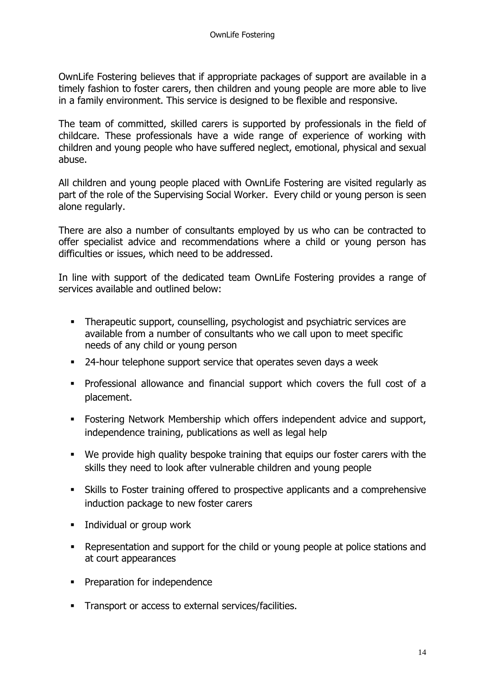OwnLife Fostering believes that if appropriate packages of support are available in a timely fashion to foster carers, then children and young people are more able to live in a family environment. This service is designed to be flexible and responsive.

The team of committed, skilled carers is supported by professionals in the field of childcare. These professionals have a wide range of experience of working with children and young people who have suffered neglect, emotional, physical and sexual abuse.

All children and young people placed with OwnLife Fostering are visited regularly as part of the role of the Supervising Social Worker. Every child or young person is seen alone regularly.

There are also a number of consultants employed by us who can be contracted to offer specialist advice and recommendations where a child or young person has difficulties or issues, which need to be addressed.

In line with support of the dedicated team OwnLife Fostering provides a range of services available and outlined below:

- **EXECT** Therapeutic support, counselling, psychologist and psychiatric services are available from a number of consultants who we call upon to meet specific needs of any child or young person
- 24-hour telephone support service that operates seven days a week
- Professional allowance and financial support which covers the full cost of a placement.
- **EXECT:** Fostering Network Membership which offers independent advice and support, independence training, publications as well as legal help
- We provide high quality bespoke training that equips our foster carers with the skills they need to look after vulnerable children and young people
- **EXILLE 15 In Skills to Foster training offered to prospective applicants and a comprehensive** induction package to new foster carers
- Individual or group work
- Representation and support for the child or young people at police stations and at court appearances
- **•** Preparation for independence
- **EXEC** Transport or access to external services/facilities.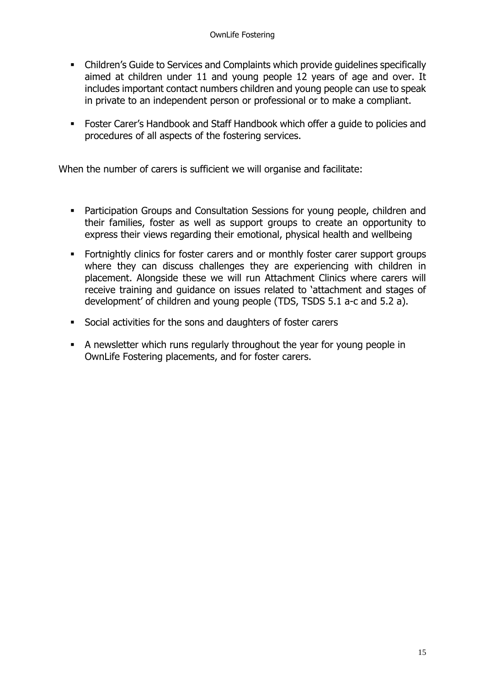- Children's Guide to Services and Complaints which provide guidelines specifically aimed at children under 11 and young people 12 years of age and over. It includes important contact numbers children and young people can use to speak in private to an independent person or professional or to make a compliant.
- Foster Carer's Handbook and Staff Handbook which offer a guide to policies and procedures of all aspects of the fostering services.

When the number of carers is sufficient we will organise and facilitate:

- Participation Groups and Consultation Sessions for young people, children and their families, foster as well as support groups to create an opportunity to express their views regarding their emotional, physical health and wellbeing
- Fortnightly clinics for foster carers and or monthly foster carer support groups where they can discuss challenges they are experiencing with children in placement. Alongside these we will run Attachment Clinics where carers will receive training and guidance on issues related to 'attachment and stages of development' of children and young people (TDS, TSDS 5.1 a-c and 5.2 a).
- Social activities for the sons and daughters of foster carers
- A newsletter which runs regularly throughout the year for young people in OwnLife Fostering placements, and for foster carers.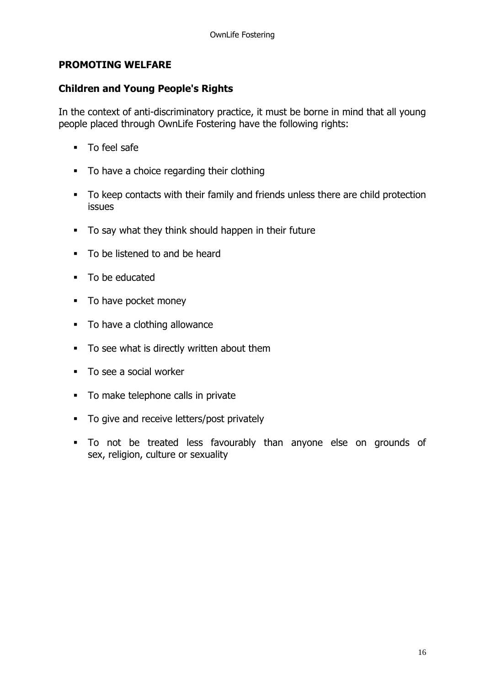## **PROMOTING WELFARE**

## **Children and Young People's Rights**

In the context of anti-discriminatory practice, it must be borne in mind that all young people placed through OwnLife Fostering have the following rights:

- To feel safe
- To have a choice regarding their clothing
- To keep contacts with their family and friends unless there are child protection issues
- To say what they think should happen in their future
- To be listened to and be heard
- To be educated
- To have pocket money
- To have a clothing allowance
- To see what is directly written about them
- To see a social worker
- To make telephone calls in private
- To give and receive letters/post privately
- To not be treated less favourably than anyone else on grounds of sex, religion, culture or sexuality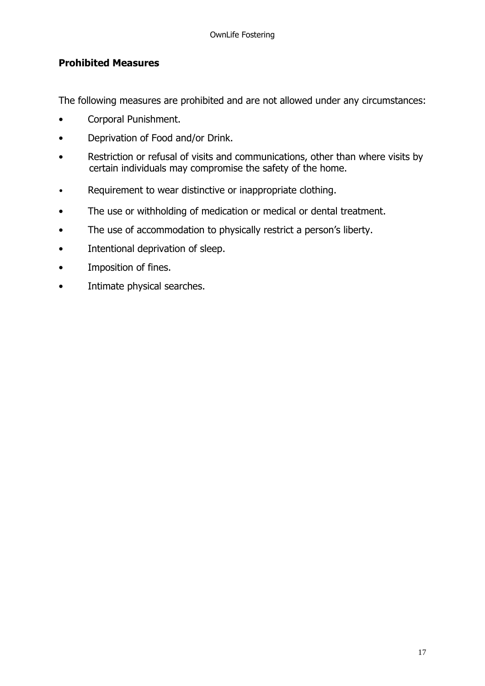## **Prohibited Measures**

The following measures are prohibited and are not allowed under any circumstances:

- Corporal Punishment.
- Deprivation of Food and/or Drink.
- Restriction or refusal of visits and communications, other than where visits by certain individuals may compromise the safety of the home.
- Requirement to wear distinctive or inappropriate clothing.
- The use or withholding of medication or medical or dental treatment.
- The use of accommodation to physically restrict a person's liberty.
- Intentional deprivation of sleep.
- Imposition of fines.
- Intimate physical searches.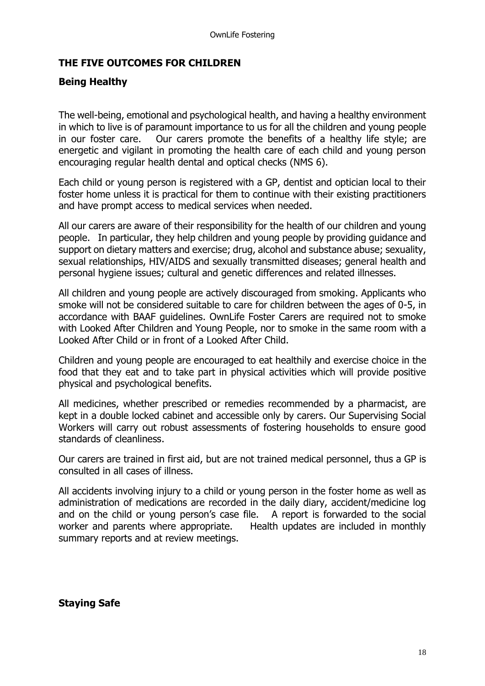## **THE FIVE OUTCOMES FOR CHILDREN**

## **Being Healthy**

The well-being, emotional and psychological health, and having a healthy environment in which to live is of paramount importance to us for all the children and young people in our foster care. Our carers promote the benefits of a healthy life style; are energetic and vigilant in promoting the health care of each child and young person encouraging regular health dental and optical checks (NMS 6).

Each child or young person is registered with a GP, dentist and optician local to their foster home unless it is practical for them to continue with their existing practitioners and have prompt access to medical services when needed.

All our carers are aware of their responsibility for the health of our children and young people. In particular, they help children and young people by providing guidance and support on dietary matters and exercise; drug, alcohol and substance abuse; sexuality, sexual relationships, HIV/AIDS and sexually transmitted diseases; general health and personal hygiene issues; cultural and genetic differences and related illnesses.

All children and young people are actively discouraged from smoking. Applicants who smoke will not be considered suitable to care for children between the ages of 0-5, in accordance with BAAF guidelines. OwnLife Foster Carers are required not to smoke with Looked After Children and Young People, nor to smoke in the same room with a Looked After Child or in front of a Looked After Child.

Children and young people are encouraged to eat healthily and exercise choice in the food that they eat and to take part in physical activities which will provide positive physical and psychological benefits.

All medicines, whether prescribed or remedies recommended by a pharmacist, are kept in a double locked cabinet and accessible only by carers. Our Supervising Social Workers will carry out robust assessments of fostering households to ensure good standards of cleanliness.

Our carers are trained in first aid, but are not trained medical personnel, thus a GP is consulted in all cases of illness.

All accidents involving injury to a child or young person in the foster home as well as administration of medications are recorded in the daily diary, accident/medicine log and on the child or young person's case file. A report is forwarded to the social worker and parents where appropriate. Health updates are included in monthly summary reports and at review meetings.

**Staying Safe**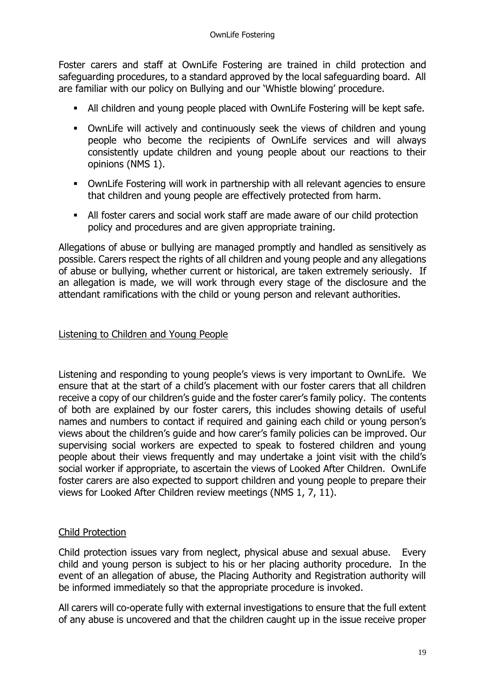Foster carers and staff at OwnLife Fostering are trained in child protection and safeguarding procedures, to a standard approved by the local safeguarding board. All are familiar with our policy on Bullying and our 'Whistle blowing' procedure.

- All children and young people placed with OwnLife Fostering will be kept safe.
- **•** OwnLife will actively and continuously seek the views of children and young people who become the recipients of OwnLife services and will always consistently update children and young people about our reactions to their opinions (NMS 1).
- OwnLife Fostering will work in partnership with all relevant agencies to ensure that children and young people are effectively protected from harm.
- All foster carers and social work staff are made aware of our child protection policy and procedures and are given appropriate training.

Allegations of abuse or bullying are managed promptly and handled as sensitively as possible. Carers respect the rights of all children and young people and any allegations of abuse or bullying, whether current or historical, are taken extremely seriously. If an allegation is made, we will work through every stage of the disclosure and the attendant ramifications with the child or young person and relevant authorities.

### Listening to Children and Young People

Listening and responding to young people's views is very important to OwnLife. We ensure that at the start of a child's placement with our foster carers that all children receive a copy of our children's guide and the foster carer's family policy. The contents of both are explained by our foster carers, this includes showing details of useful names and numbers to contact if required and gaining each child or young person's views about the children's guide and how carer's family policies can be improved. Our supervising social workers are expected to speak to fostered children and young people about their views frequently and may undertake a joint visit with the child's social worker if appropriate, to ascertain the views of Looked After Children. OwnLife foster carers are also expected to support children and young people to prepare their views for Looked After Children review meetings (NMS 1, 7, 11).

## Child Protection

Child protection issues vary from neglect, physical abuse and sexual abuse. Every child and young person is subject to his or her placing authority procedure. In the event of an allegation of abuse, the Placing Authority and Registration authority will be informed immediately so that the appropriate procedure is invoked.

All carers will co-operate fully with external investigations to ensure that the full extent of any abuse is uncovered and that the children caught up in the issue receive proper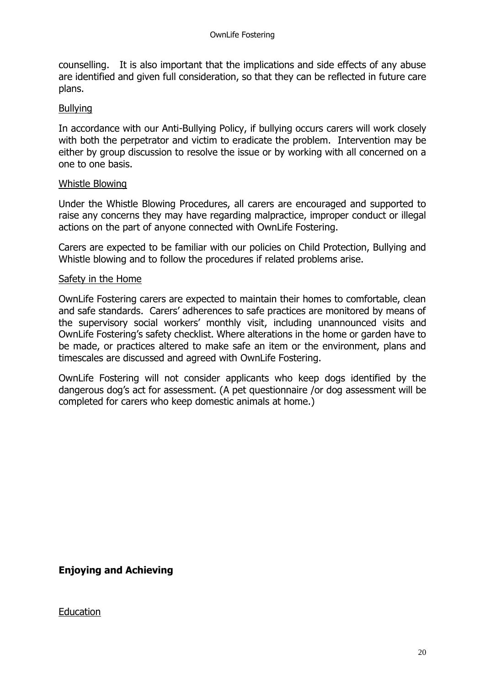counselling. It is also important that the implications and side effects of any abuse are identified and given full consideration, so that they can be reflected in future care plans.

## Bullying

In accordance with our Anti-Bullying Policy, if bullying occurs carers will work closely with both the perpetrator and victim to eradicate the problem. Intervention may be either by group discussion to resolve the issue or by working with all concerned on a one to one basis.

### Whistle Blowing

Under the Whistle Blowing Procedures, all carers are encouraged and supported to raise any concerns they may have regarding malpractice, improper conduct or illegal actions on the part of anyone connected with OwnLife Fostering.

Carers are expected to be familiar with our policies on Child Protection, Bullying and Whistle blowing and to follow the procedures if related problems arise.

### Safety in the Home

OwnLife Fostering carers are expected to maintain their homes to comfortable, clean and safe standards. Carers' adherences to safe practices are monitored by means of the supervisory social workers' monthly visit, including unannounced visits and OwnLife Fostering's safety checklist. Where alterations in the home or garden have to be made, or practices altered to make safe an item or the environment, plans and timescales are discussed and agreed with OwnLife Fostering.

OwnLife Fostering will not consider applicants who keep dogs identified by the dangerous dog's act for assessment. (A pet questionnaire /or dog assessment will be completed for carers who keep domestic animals at home.)

**Enjoying and Achieving** 

## **Education**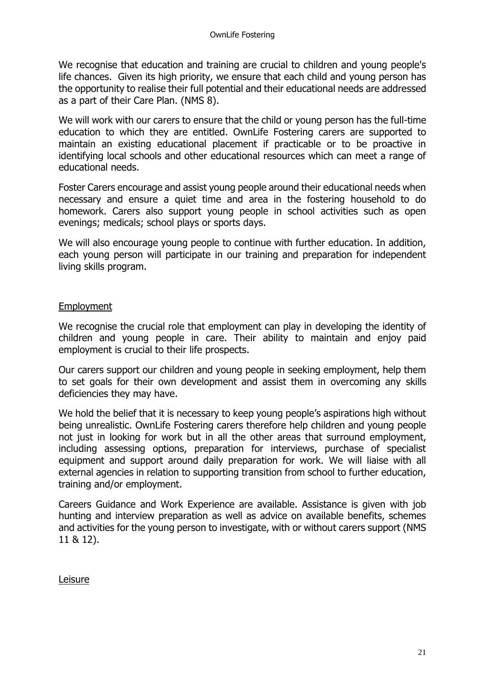We recognise that education and training are crucial to children and young people's life chances. Given its high priority, we ensure that each child and young person has the opportunity to realise their full potential and their educational needs are addressed as a part of their Care Plan. (NMS 8).

We will work with our carers to ensure that the child or young person has the full-time education to which they are entitled. OwnLife Fostering carers are supported to maintain an existing educational placement if practicable or to be proactive in identifying local schools and other educational resources which can meet a range of educational needs.

Foster Carers encourage and assist young people around their educational needs when necessary and ensure a quiet time and area in the fostering household to do homework. Carers also support young people in school activities such as open evenings; medicals; school plays or sports days.

We will also encourage young people to continue with further education. In addition, each young person will participate in our training and preparation for independent living skills program.

### Employment

We recognise the crucial role that employment can play in developing the identity of children and young people in care. Their ability to maintain and enjoy paid employment is crucial to their life prospects.

Our carers support our children and young people in seeking employment, help them to set goals for their own development and assist them in overcoming any skills deficiencies they may have.

We hold the belief that it is necessary to keep young people's aspirations high without being unrealistic. OwnLife Fostering carers therefore help children and young people not just in looking for work but in all the other areas that surround employment, including assessing options, preparation for interviews, purchase of specialist equipment and support around daily preparation for work. We will liaise with all external agencies in relation to supporting transition from school to further education, training and/or employment.

Careers Guidance and Work Experience are available. Assistance is given with job hunting and interview preparation as well as advice on available benefits, schemes and activities for the young person to investigate, with or without carers support (NMS 11 & 12).

Leisure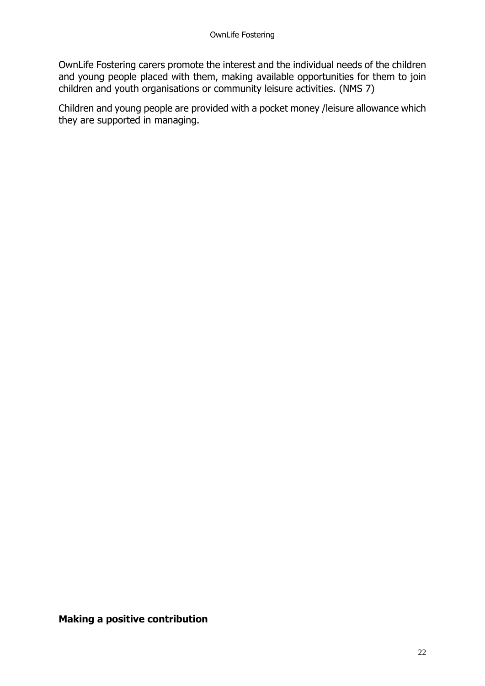OwnLife Fostering carers promote the interest and the individual needs of the children and young people placed with them, making available opportunities for them to join children and youth organisations or community leisure activities. (NMS 7)

Children and young people are provided with a pocket money /leisure allowance which they are supported in managing.

**Making a positive contribution**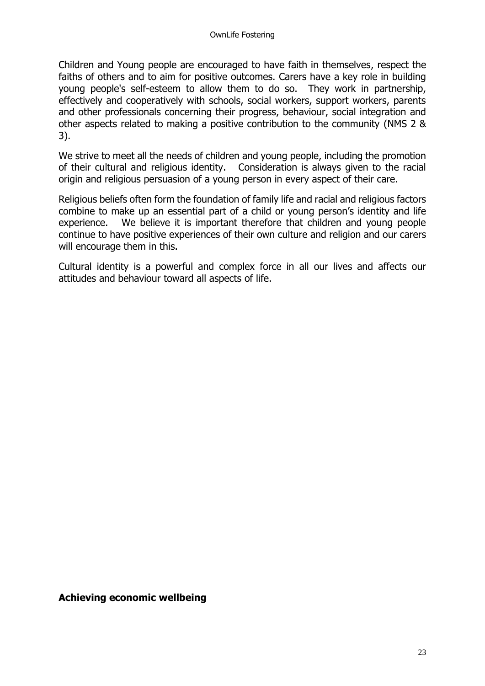Children and Young people are encouraged to have faith in themselves, respect the faiths of others and to aim for positive outcomes. Carers have a key role in building young people's self-esteem to allow them to do so. They work in partnership, effectively and cooperatively with schools, social workers, support workers, parents and other professionals concerning their progress, behaviour, social integration and other aspects related to making a positive contribution to the community (NMS 2 & 3).

We strive to meet all the needs of children and young people, including the promotion of their cultural and religious identity. Consideration is always given to the racial origin and religious persuasion of a young person in every aspect of their care.

Religious beliefs often form the foundation of family life and racial and religious factors combine to make up an essential part of a child or young person's identity and life experience. We believe it is important therefore that children and young people continue to have positive experiences of their own culture and religion and our carers will encourage them in this.

Cultural identity is a powerful and complex force in all our lives and affects our attitudes and behaviour toward all aspects of life.

### **Achieving economic wellbeing**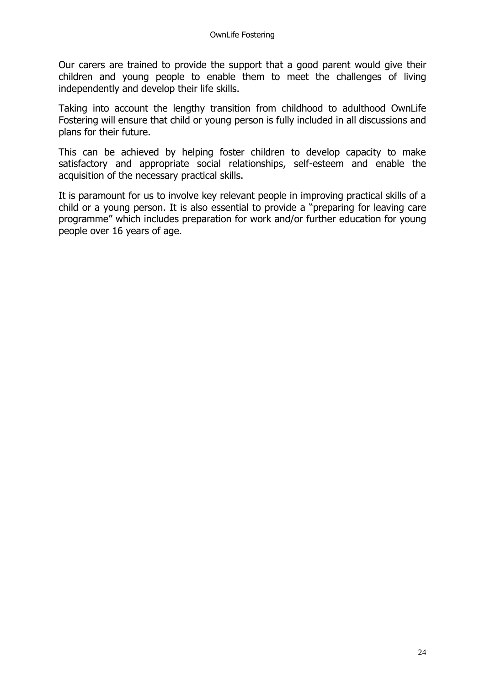Our carers are trained to provide the support that a good parent would give their children and young people to enable them to meet the challenges of living independently and develop their life skills.

Taking into account the lengthy transition from childhood to adulthood OwnLife Fostering will ensure that child or young person is fully included in all discussions and plans for their future.

This can be achieved by helping foster children to develop capacity to make satisfactory and appropriate social relationships, self-esteem and enable the acquisition of the necessary practical skills.

It is paramount for us to involve key relevant people in improving practical skills of a child or a young person. It is also essential to provide a "preparing for leaving care programme" which includes preparation for work and/or further education for young people over 16 years of age.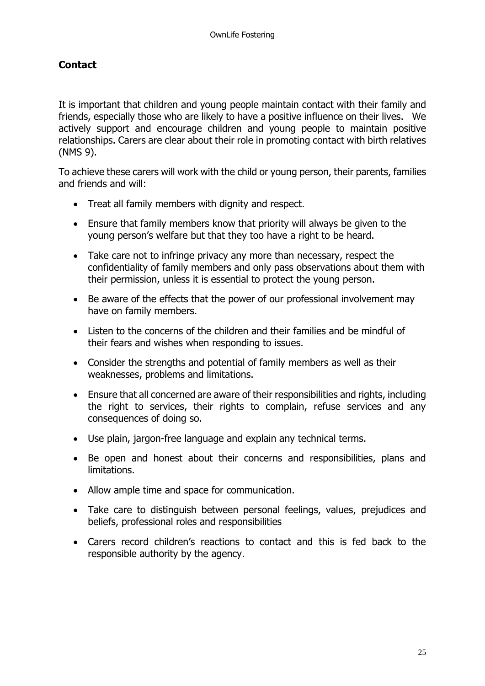## **Contact**

It is important that children and young people maintain contact with their family and friends, especially those who are likely to have a positive influence on their lives. We actively support and encourage children and young people to maintain positive relationships. Carers are clear about their role in promoting contact with birth relatives (NMS 9).

To achieve these carers will work with the child or young person, their parents, families and friends and will:

- Treat all family members with dignity and respect.
- Ensure that family members know that priority will always be given to the young person's welfare but that they too have a right to be heard.
- Take care not to infringe privacy any more than necessary, respect the confidentiality of family members and only pass observations about them with their permission, unless it is essential to protect the young person.
- Be aware of the effects that the power of our professional involvement may have on family members.
- Listen to the concerns of the children and their families and be mindful of their fears and wishes when responding to issues.
- Consider the strengths and potential of family members as well as their weaknesses, problems and limitations.
- Ensure that all concerned are aware of their responsibilities and rights, including the right to services, their rights to complain, refuse services and any consequences of doing so.
- Use plain, jargon-free language and explain any technical terms.
- Be open and honest about their concerns and responsibilities, plans and limitations.
- Allow ample time and space for communication.
- Take care to distinguish between personal feelings, values, prejudices and beliefs, professional roles and responsibilities
- Carers record children's reactions to contact and this is fed back to the responsible authority by the agency.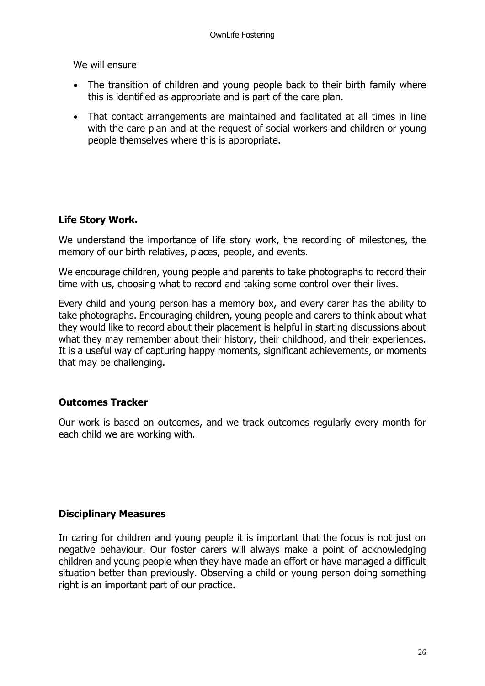We will ensure

- The transition of children and young people back to their birth family where this is identified as appropriate and is part of the care plan.
- That contact arrangements are maintained and facilitated at all times in line with the care plan and at the request of social workers and children or young people themselves where this is appropriate.

## **Life Story Work.**

We understand the importance of life story work, the recording of milestones, the memory of our birth relatives, places, people, and events.

We encourage children, young people and parents to take photographs to record their time with us, choosing what to record and taking some control over their lives.

Every child and young person has a memory box, and every carer has the ability to take photographs. Encouraging children, young people and carers to think about what they would like to record about their placement is helpful in starting discussions about what they may remember about their history, their childhood, and their experiences. It is a useful way of capturing happy moments, significant achievements, or moments that may be challenging.

## **Outcomes Tracker**

Our work is based on outcomes, and we track outcomes regularly every month for each child we are working with.

## **Disciplinary Measures**

In caring for children and young people it is important that the focus is not just on negative behaviour. Our foster carers will always make a point of acknowledging children and young people when they have made an effort or have managed a difficult situation better than previously. Observing a child or young person doing something right is an important part of our practice.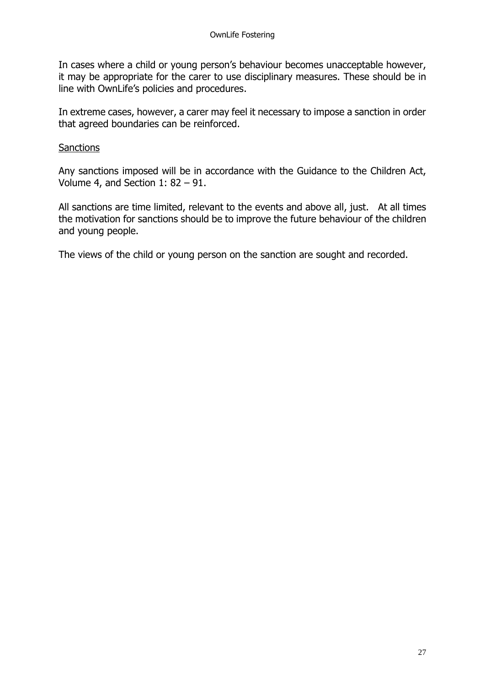In cases where a child or young person's behaviour becomes unacceptable however, it may be appropriate for the carer to use disciplinary measures. These should be in line with OwnLife's policies and procedures.

In extreme cases, however, a carer may feel it necessary to impose a sanction in order that agreed boundaries can be reinforced.

### **Sanctions**

Any sanctions imposed will be in accordance with the Guidance to the Children Act, Volume 4, and Section 1: 82 – 91.

All sanctions are time limited, relevant to the events and above all, just. At all times the motivation for sanctions should be to improve the future behaviour of the children and young people.

The views of the child or young person on the sanction are sought and recorded.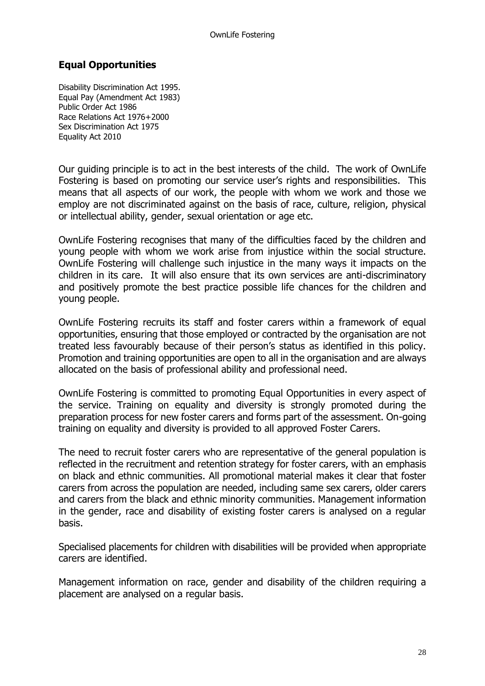## **Equal Opportunities**

Disability Discrimination Act 1995. Equal Pay (Amendment Act 1983) Public Order Act 1986 Race Relations Act 1976+2000 Sex Discrimination Act 1975 Equality Act 2010

Our guiding principle is to act in the best interests of the child. The work of OwnLife Fostering is based on promoting our service user's rights and responsibilities. This means that all aspects of our work, the people with whom we work and those we employ are not discriminated against on the basis of race, culture, religion, physical or intellectual ability, gender, sexual orientation or age etc.

OwnLife Fostering recognises that many of the difficulties faced by the children and young people with whom we work arise from injustice within the social structure. OwnLife Fostering will challenge such injustice in the many ways it impacts on the children in its care. It will also ensure that its own services are anti-discriminatory and positively promote the best practice possible life chances for the children and young people.

OwnLife Fostering recruits its staff and foster carers within a framework of equal opportunities, ensuring that those employed or contracted by the organisation are not treated less favourably because of their person's status as identified in this policy. Promotion and training opportunities are open to all in the organisation and are always allocated on the basis of professional ability and professional need.

OwnLife Fostering is committed to promoting Equal Opportunities in every aspect of the service. Training on equality and diversity is strongly promoted during the preparation process for new foster carers and forms part of the assessment. On-going training on equality and diversity is provided to all approved Foster Carers.

The need to recruit foster carers who are representative of the general population is reflected in the recruitment and retention strategy for foster carers, with an emphasis on black and ethnic communities. All promotional material makes it clear that foster carers from across the population are needed, including same sex carers, older carers and carers from the black and ethnic minority communities. Management information in the gender, race and disability of existing foster carers is analysed on a regular basis.

Specialised placements for children with disabilities will be provided when appropriate carers are identified.

Management information on race, gender and disability of the children requiring a placement are analysed on a regular basis.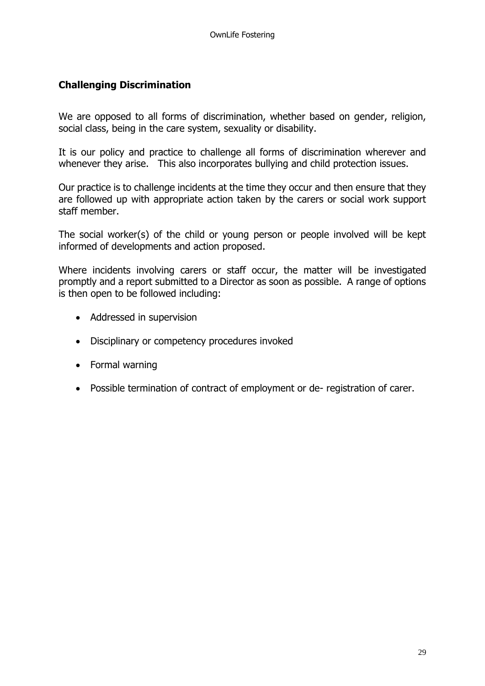## **Challenging Discrimination**

We are opposed to all forms of discrimination, whether based on gender, religion, social class, being in the care system, sexuality or disability.

It is our policy and practice to challenge all forms of discrimination wherever and whenever they arise. This also incorporates bullying and child protection issues.

Our practice is to challenge incidents at the time they occur and then ensure that they are followed up with appropriate action taken by the carers or social work support staff member.

The social worker(s) of the child or young person or people involved will be kept informed of developments and action proposed.

Where incidents involving carers or staff occur, the matter will be investigated promptly and a report submitted to a Director as soon as possible. A range of options is then open to be followed including:

- Addressed in supervision
- Disciplinary or competency procedures invoked
- Formal warning
- Possible termination of contract of employment or de- registration of carer.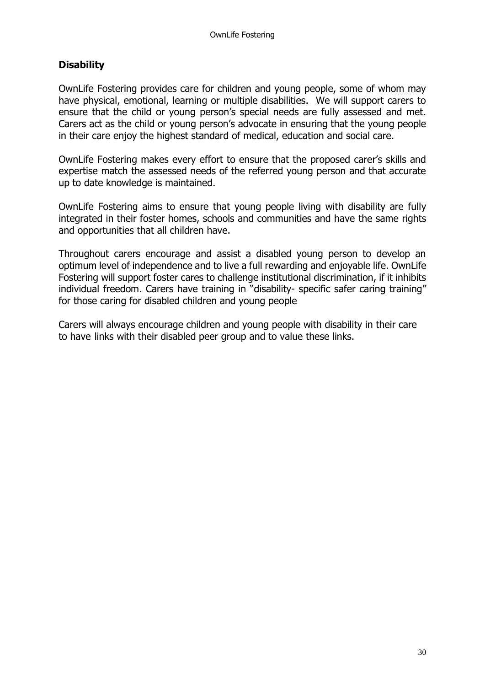## **Disability**

OwnLife Fostering provides care for children and young people, some of whom may have physical, emotional, learning or multiple disabilities. We will support carers to ensure that the child or young person's special needs are fully assessed and met. Carers act as the child or young person's advocate in ensuring that the young people in their care enjoy the highest standard of medical, education and social care.

OwnLife Fostering makes every effort to ensure that the proposed carer's skills and expertise match the assessed needs of the referred young person and that accurate up to date knowledge is maintained.

OwnLife Fostering aims to ensure that young people living with disability are fully integrated in their foster homes, schools and communities and have the same rights and opportunities that all children have.

Throughout carers encourage and assist a disabled young person to develop an optimum level of independence and to live a full rewarding and enjoyable life. OwnLife Fostering will support foster cares to challenge institutional discrimination, if it inhibits individual freedom. Carers have training in "disability- specific safer caring training" for those caring for disabled children and young people

Carers will always encourage children and young people with disability in their care to have links with their disabled peer group and to value these links.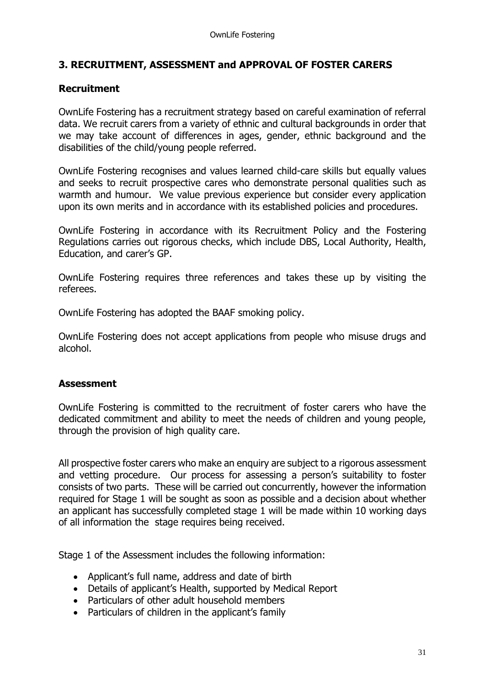## **3. RECRUITMENT, ASSESSMENT and APPROVAL OF FOSTER CARERS**

## **Recruitment**

OwnLife Fostering has a recruitment strategy based on careful examination of referral data. We recruit carers from a variety of ethnic and cultural backgrounds in order that we may take account of differences in ages, gender, ethnic background and the disabilities of the child/young people referred.

OwnLife Fostering recognises and values learned child-care skills but equally values and seeks to recruit prospective cares who demonstrate personal qualities such as warmth and humour. We value previous experience but consider every application upon its own merits and in accordance with its established policies and procedures.

OwnLife Fostering in accordance with its Recruitment Policy and the Fostering Regulations carries out rigorous checks, which include DBS, Local Authority, Health, Education, and carer's GP.

OwnLife Fostering requires three references and takes these up by visiting the referees.

OwnLife Fostering has adopted the BAAF smoking policy.

OwnLife Fostering does not accept applications from people who misuse drugs and alcohol.

## **Assessment**

OwnLife Fostering is committed to the recruitment of foster carers who have the dedicated commitment and ability to meet the needs of children and young people, through the provision of high quality care.

All prospective foster carers who make an enquiry are subject to a rigorous assessment and vetting procedure. Our process for assessing a person's suitability to foster consists of two parts. These will be carried out concurrently, however the information required for Stage 1 will be sought as soon as possible and a decision about whether an applicant has successfully completed stage 1 will be made within 10 working days of all information the stage requires being received.

Stage 1 of the Assessment includes the following information:

- Applicant's full name, address and date of birth
- Details of applicant's Health, supported by Medical Report
- Particulars of other adult household members
- Particulars of children in the applicant's family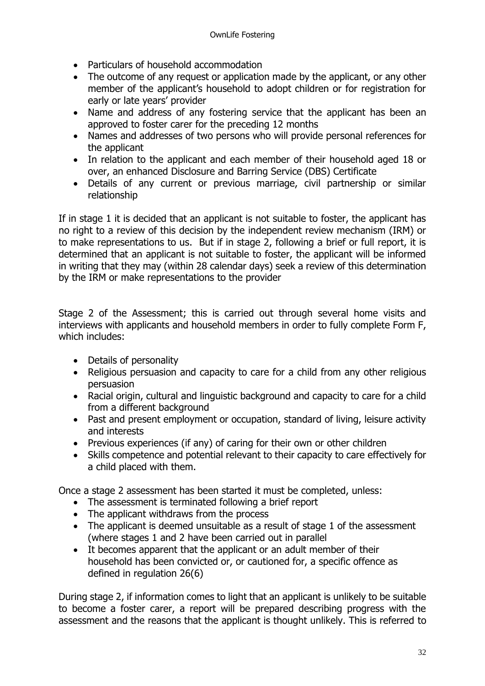- Particulars of household accommodation
- The outcome of any request or application made by the applicant, or any other member of the applicant's household to adopt children or for registration for early or late years' provider
- Name and address of any fostering service that the applicant has been an approved to foster carer for the preceding 12 months
- Names and addresses of two persons who will provide personal references for the applicant
- In relation to the applicant and each member of their household aged 18 or over, an enhanced Disclosure and Barring Service (DBS) Certificate
- Details of any current or previous marriage, civil partnership or similar relationship

If in stage 1 it is decided that an applicant is not suitable to foster, the applicant has no right to a review of this decision by the independent review mechanism (IRM) or to make representations to us. But if in stage 2, following a brief or full report, it is determined that an applicant is not suitable to foster, the applicant will be informed in writing that they may (within 28 calendar days) seek a review of this determination by the IRM or make representations to the provider

Stage 2 of the Assessment; this is carried out through several home visits and interviews with applicants and household members in order to fully complete Form F, which includes:

- Details of personality
- Religious persuasion and capacity to care for a child from any other religious persuasion
- Racial origin, cultural and linguistic background and capacity to care for a child from a different background
- Past and present employment or occupation, standard of living, leisure activity and interests
- Previous experiences (if any) of caring for their own or other children
- Skills competence and potential relevant to their capacity to care effectively for a child placed with them.

Once a stage 2 assessment has been started it must be completed, unless:

- The assessment is terminated following a brief report
- The applicant withdraws from the process
- The applicant is deemed unsuitable as a result of stage 1 of the assessment (where stages 1 and 2 have been carried out in parallel
- It becomes apparent that the applicant or an adult member of their household has been convicted or, or cautioned for, a specific offence as defined in regulation 26(6)

During stage 2, if information comes to light that an applicant is unlikely to be suitable to become a foster carer, a report will be prepared describing progress with the assessment and the reasons that the applicant is thought unlikely. This is referred to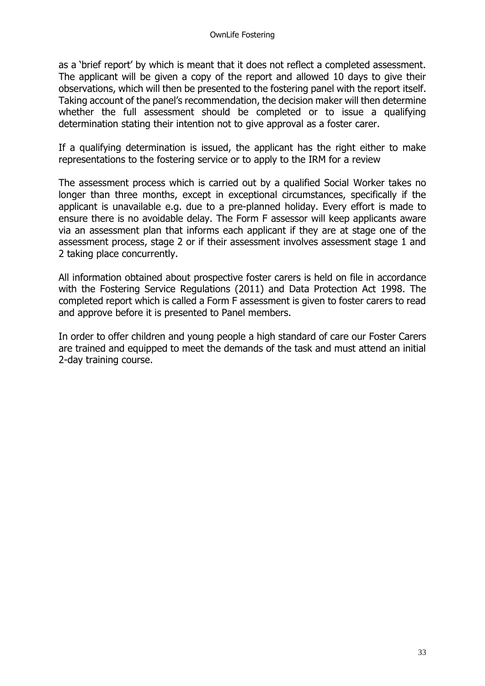as a 'brief report' by which is meant that it does not reflect a completed assessment. The applicant will be given a copy of the report and allowed 10 days to give their observations, which will then be presented to the fostering panel with the report itself. Taking account of the panel's recommendation, the decision maker will then determine whether the full assessment should be completed or to issue a qualifying determination stating their intention not to give approval as a foster carer.

If a qualifying determination is issued, the applicant has the right either to make representations to the fostering service or to apply to the IRM for a review

The assessment process which is carried out by a qualified Social Worker takes no longer than three months, except in exceptional circumstances, specifically if the applicant is unavailable e.g. due to a pre-planned holiday. Every effort is made to ensure there is no avoidable delay. The Form F assessor will keep applicants aware via an assessment plan that informs each applicant if they are at stage one of the assessment process, stage 2 or if their assessment involves assessment stage 1 and 2 taking place concurrently.

All information obtained about prospective foster carers is held on file in accordance with the Fostering Service Regulations (2011) and Data Protection Act 1998. The completed report which is called a Form F assessment is given to foster carers to read and approve before it is presented to Panel members.

In order to offer children and young people a high standard of care our Foster Carers are trained and equipped to meet the demands of the task and must attend an initial 2-day training course.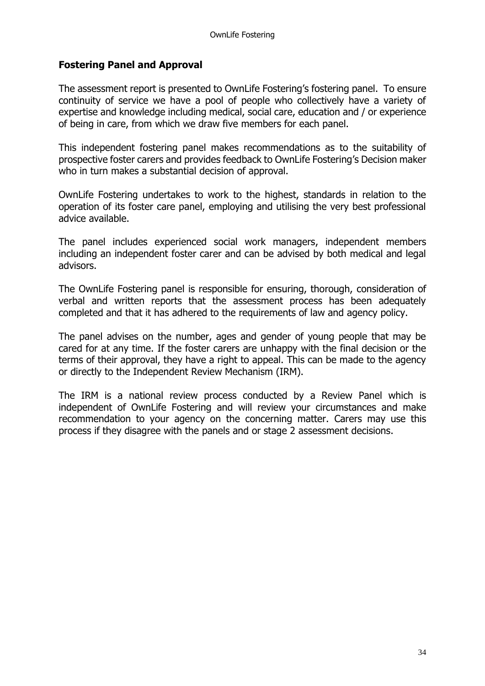## **Fostering Panel and Approval**

The assessment report is presented to OwnLife Fostering's fostering panel. To ensure continuity of service we have a pool of people who collectively have a variety of expertise and knowledge including medical, social care, education and / or experience of being in care, from which we draw five members for each panel.

This independent fostering panel makes recommendations as to the suitability of prospective foster carers and provides feedback to OwnLife Fostering's Decision maker who in turn makes a substantial decision of approval.

OwnLife Fostering undertakes to work to the highest, standards in relation to the operation of its foster care panel, employing and utilising the very best professional advice available.

The panel includes experienced social work managers, independent members including an independent foster carer and can be advised by both medical and legal advisors.

The OwnLife Fostering panel is responsible for ensuring, thorough, consideration of verbal and written reports that the assessment process has been adequately completed and that it has adhered to the requirements of law and agency policy.

The panel advises on the number, ages and gender of young people that may be cared for at any time. If the foster carers are unhappy with the final decision or the terms of their approval, they have a right to appeal. This can be made to the agency or directly to the Independent Review Mechanism (IRM).

The IRM is a national review process conducted by a Review Panel which is independent of OwnLife Fostering and will review your circumstances and make recommendation to your agency on the concerning matter. Carers may use this process if they disagree with the panels and or stage 2 assessment decisions.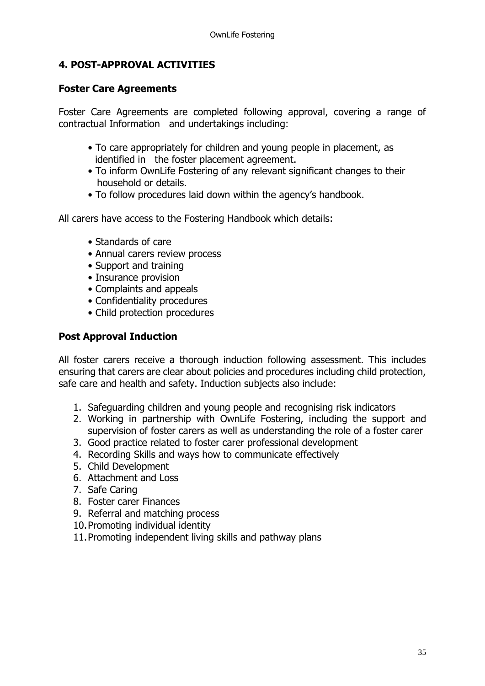## **4. POST-APPROVAL ACTIVITIES**

## **Foster Care Agreements**

Foster Care Agreements are completed following approval, covering a range of contractual Information and undertakings including:

- To care appropriately for children and young people in placement, as identified in the foster placement agreement.
- To inform OwnLife Fostering of any relevant significant changes to their household or details.
- To follow procedures laid down within the agency's handbook.

All carers have access to the Fostering Handbook which details:

- Standards of care
- Annual carers review process
- Support and training
- Insurance provision
- Complaints and appeals
- Confidentiality procedures
- Child protection procedures

## **Post Approval Induction**

All foster carers receive a thorough induction following assessment. This includes ensuring that carers are clear about policies and procedures including child protection, safe care and health and safety. Induction subjects also include:

- 1. Safeguarding children and young people and recognising risk indicators
- 2. Working in partnership with OwnLife Fostering, including the support and supervision of foster carers as well as understanding the role of a foster carer
- 3. Good practice related to foster carer professional development
- 4. Recording Skills and ways how to communicate effectively
- 5. Child Development
- 6. Attachment and Loss
- 7. Safe Caring
- 8. Foster carer Finances
- 9. Referral and matching process
- 10.Promoting individual identity
- 11.Promoting independent living skills and pathway plans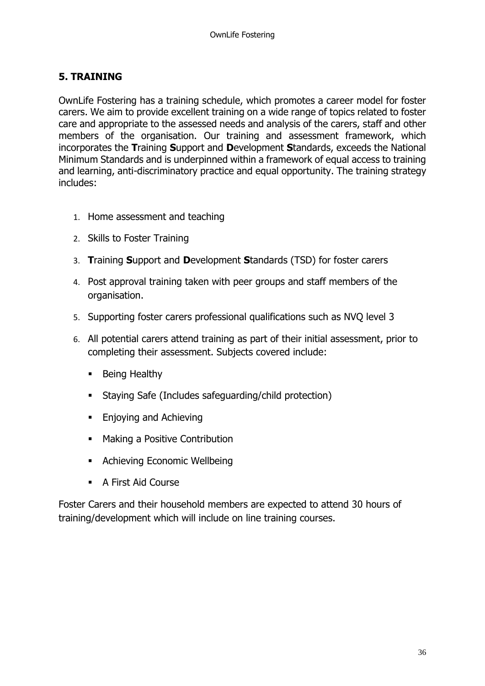## **5. TRAINING**

OwnLife Fostering has a training schedule, which promotes a career model for foster carers. We aim to provide excellent training on a wide range of topics related to foster care and appropriate to the assessed needs and analysis of the carers, staff and other members of the organisation. Our training and assessment framework, which incorporates the **T**raining **S**upport and **D**evelopment **S**tandards, exceeds the National Minimum Standards and is underpinned within a framework of equal access to training and learning, anti-discriminatory practice and equal opportunity. The training strategy includes:

- 1. Home assessment and teaching
- 2. Skills to Foster Training
- 3. **T**raining **S**upport and **D**evelopment **S**tandards (TSD) for foster carers
- 4. Post approval training taken with peer groups and staff members of the organisation.
- 5. Supporting foster carers professional qualifications such as NVQ level 3
- 6. All potential carers attend training as part of their initial assessment, prior to completing their assessment. Subjects covered include:
	- Being Healthy
	- Staying Safe (Includes safeguarding/child protection)
	- Enjoying and Achieving
	- Making a Positive Contribution
	- Achieving Economic Wellbeing
	- A First Aid Course

Foster Carers and their household members are expected to attend 30 hours of training/development which will include on line training courses.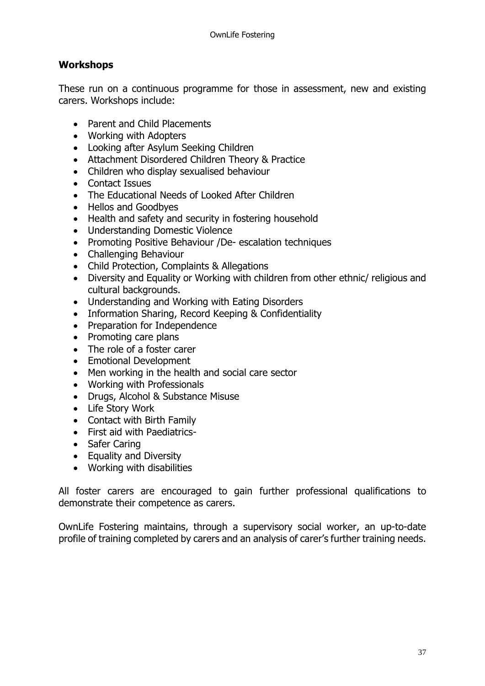## **Workshops**

These run on a continuous programme for those in assessment, new and existing carers. Workshops include:

- Parent and Child Placements
- Working with Adopters
- Looking after Asylum Seeking Children
- Attachment Disordered Children Theory & Practice
- Children who display sexualised behaviour
- Contact Issues
- The Educational Needs of Looked After Children
- Hellos and Goodbyes
- Health and safety and security in fostering household
- Understanding Domestic Violence
- Promoting Positive Behaviour /De- escalation techniques
- Challenging Behaviour
- Child Protection, Complaints & Allegations
- Diversity and Equality or Working with children from other ethnic/ religious and cultural backgrounds.
- Understanding and Working with Eating Disorders
- Information Sharing, Record Keeping & Confidentiality
- Preparation for Independence
- Promoting care plans
- The role of a foster carer
- Emotional Development
- Men working in the health and social care sector
- Working with Professionals
- Drugs, Alcohol & Substance Misuse
- Life Story Work
- Contact with Birth Family
- First aid with Paediatrics-
- Safer Caring
- Equality and Diversity
- Working with disabilities

All foster carers are encouraged to gain further professional qualifications to demonstrate their competence as carers.

OwnLife Fostering maintains, through a supervisory social worker, an up-to-date profile of training completed by carers and an analysis of carer's further training needs.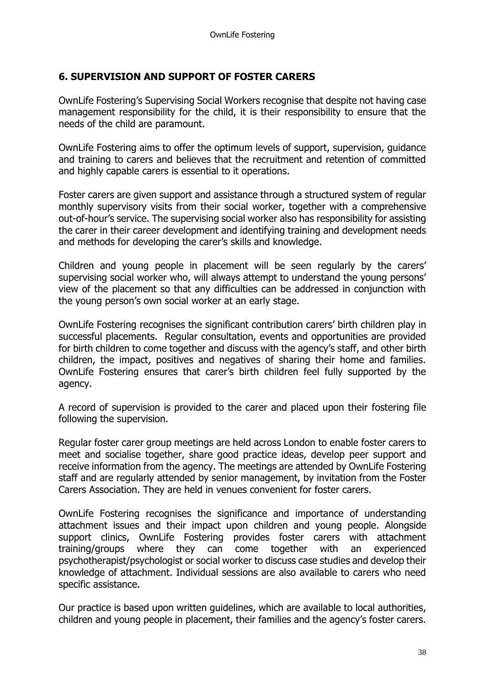## **6. SUPERVISION AND SUPPORT OF FOSTER CARERS**

OwnLife Fostering's Supervising Social Workers recognise that despite not having case management responsibility for the child, it is their responsibility to ensure that the needs of the child are paramount.

OwnLife Fostering aims to offer the optimum levels of support, supervision, guidance and training to carers and believes that the recruitment and retention of committed and highly capable carers is essential to it operations.

Foster carers are given support and assistance through a structured system of regular monthly supervisory visits from their social worker, together with a comprehensive out-of-hour's service. The supervising social worker also has responsibility for assisting the carer in their career development and identifying training and development needs and methods for developing the carer's skills and knowledge.

Children and young people in placement will be seen regularly by the carers' supervising social worker who, will always attempt to understand the young persons' view of the placement so that any difficulties can be addressed in conjunction with the young person's own social worker at an early stage.

OwnLife Fostering recognises the significant contribution carers' birth children play in successful placements. Regular consultation, events and opportunities are provided for birth children to come together and discuss with the agency's staff, and other birth children, the impact, positives and negatives of sharing their home and families. OwnLife Fostering ensures that carer's birth children feel fully supported by the agency.

A record of supervision is provided to the carer and placed upon their fostering file following the supervision.

Regular foster carer group meetings are held across London to enable foster carers to meet and socialise together, share good practice ideas, develop peer support and receive information from the agency. The meetings are attended by OwnLife Fostering staff and are regularly attended by senior management, by invitation from the Foster Carers Association. They are held in venues convenient for foster carers.

OwnLife Fostering recognises the significance and importance of understanding attachment issues and their impact upon children and young people. Alongside support clinics, OwnLife Fostering provides foster carers with attachment training/groups where they can come together with an experienced psychotherapist/psychologist or social worker to discuss case studies and develop their knowledge of attachment. Individual sessions are also available to carers who need specific assistance.

Our practice is based upon written guidelines, which are available to local authorities, children and young people in placement, their families and the agency's foster carers.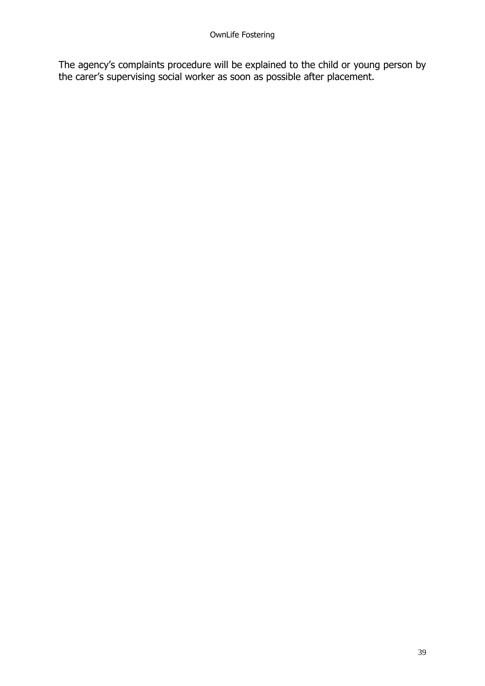The agency's complaints procedure will be explained to the child or young person by the carer's supervising social worker as soon as possible after placement.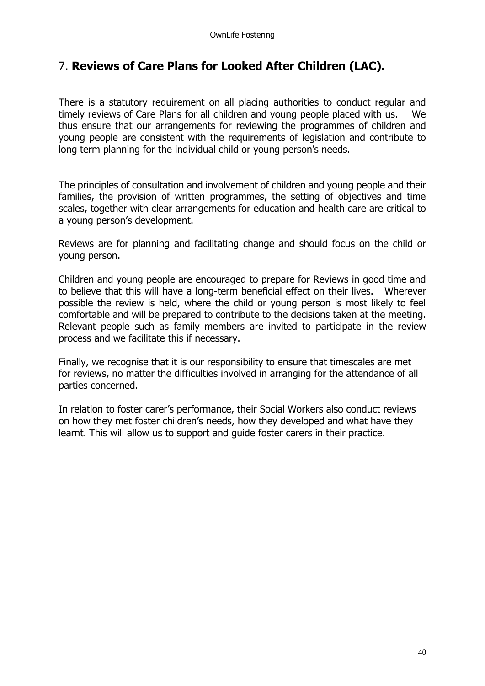# 7. **Reviews of Care Plans for Looked After Children (LAC).**

There is a statutory requirement on all placing authorities to conduct regular and timely reviews of Care Plans for all children and young people placed with us. We thus ensure that our arrangements for reviewing the programmes of children and young people are consistent with the requirements of legislation and contribute to long term planning for the individual child or young person's needs.

The principles of consultation and involvement of children and young people and their families, the provision of written programmes, the setting of objectives and time scales, together with clear arrangements for education and health care are critical to a young person's development.

Reviews are for planning and facilitating change and should focus on the child or young person.

Children and young people are encouraged to prepare for Reviews in good time and to believe that this will have a long-term beneficial effect on their lives. Wherever possible the review is held, where the child or young person is most likely to feel comfortable and will be prepared to contribute to the decisions taken at the meeting. Relevant people such as family members are invited to participate in the review process and we facilitate this if necessary.

Finally, we recognise that it is our responsibility to ensure that timescales are met for reviews, no matter the difficulties involved in arranging for the attendance of all parties concerned.

In relation to foster carer's performance, their Social Workers also conduct reviews on how they met foster children's needs, how they developed and what have they learnt. This will allow us to support and guide foster carers in their practice.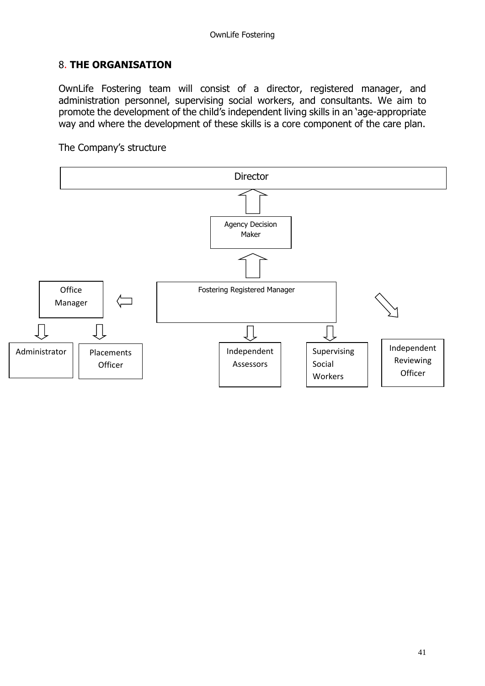## 8. **THE ORGANISATION**

OwnLife Fostering team will consist of a director, registered manager, and administration personnel, supervising social workers, and consultants. We aim to promote the development of the child's independent living skills in an 'age-appropriate way and where the development of these skills is a core component of the care plan.

The Company's structure

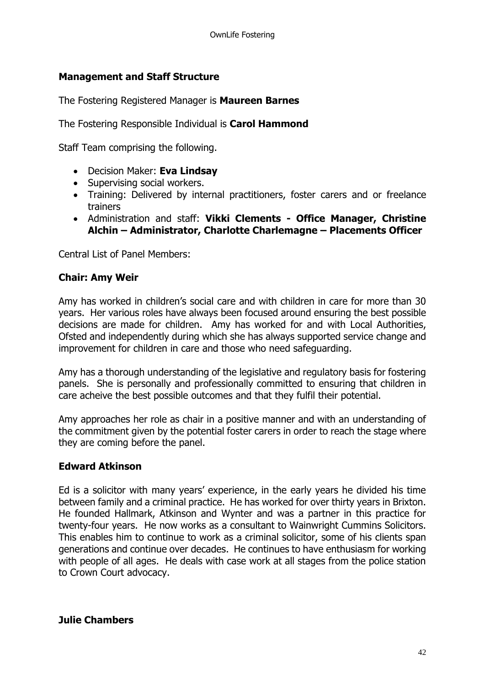## **Management and Staff Structure**

The Fostering Registered Manager is **Maureen Barnes**

The Fostering Responsible Individual is **Carol Hammond**

Staff Team comprising the following.

- Decision Maker: **Eva Lindsay**
- Supervising social workers.
- Training: Delivered by internal practitioners, foster carers and or freelance trainers
- Administration and staff: **Vikki Clements - Office Manager, Christine Alchin – Administrator, Charlotte Charlemagne – Placements Officer**

Central List of Panel Members:

## **Chair: Amy Weir**

Amy has worked in children's social care and with children in care for more than 30 years. Her various roles have always been focused around ensuring the best possible decisions are made for children. Amy has worked for and with Local Authorities, Ofsted and independently during which she has always supported service change and improvement for children in care and those who need safeguarding.

Amy has a thorough understanding of the legislative and regulatory basis for fostering panels. She is personally and professionally committed to ensuring that children in care acheive the best possible outcomes and that they fulfil their potential.

Amy approaches her role as chair in a positive manner and with an understanding of the commitment given by the potential foster carers in order to reach the stage where they are coming before the panel.

## **Edward Atkinson**

Ed is a solicitor with many years' experience, in the early years he divided his time between family and a criminal practice. He has worked for over thirty years in Brixton. He founded Hallmark, Atkinson and Wynter and was a partner in this practice for twenty-four years. He now works as a consultant to Wainwright Cummins Solicitors. This enables him to continue to work as a criminal solicitor, some of his clients span generations and continue over decades. He continues to have enthusiasm for working with people of all ages. He deals with case work at all stages from the police station to Crown Court advocacy.

### **Julie Chambers**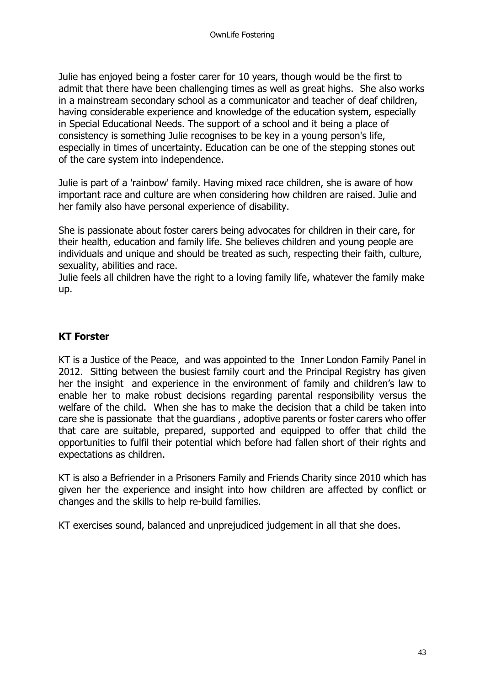Julie has enjoyed being a foster carer for 10 years, though would be the first to admit that there have been challenging times as well as great highs. She also works in a mainstream secondary school as a communicator and teacher of deaf children, having considerable experience and knowledge of the education system, especially in Special Educational Needs. The support of a school and it being a place of consistency is something Julie recognises to be key in a young person's life, especially in times of uncertainty. Education can be one of the stepping stones out of the care system into independence.

Julie is part of a 'rainbow' family. Having mixed race children, she is aware of how important race and culture are when considering how children are raised. Julie and her family also have personal experience of disability.

She is passionate about foster carers being advocates for children in their care, for their health, education and family life. She believes children and young people are individuals and unique and should be treated as such, respecting their faith, culture, sexuality, abilities and race.

Julie feels all children have the right to a loving family life, whatever the family make up.

## **KT Forster**

KT is a Justice of the Peace, and was appointed to the Inner London Family Panel in 2012. Sitting between the busiest family court and the Principal Registry has given her the insight and experience in the environment of family and children's law to enable her to make robust decisions regarding parental responsibility versus the welfare of the child. When she has to make the decision that a child be taken into care she is passionate that the guardians , adoptive parents or foster carers who offer that care are suitable, prepared, supported and equipped to offer that child the opportunities to fulfil their potential which before had fallen short of their rights and expectations as children.

KT is also a Befriender in a Prisoners Family and Friends Charity since 2010 which has given her the experience and insight into how children are affected by conflict or changes and the skills to help re-build families.

KT exercises sound, balanced and unprejudiced judgement in all that she does.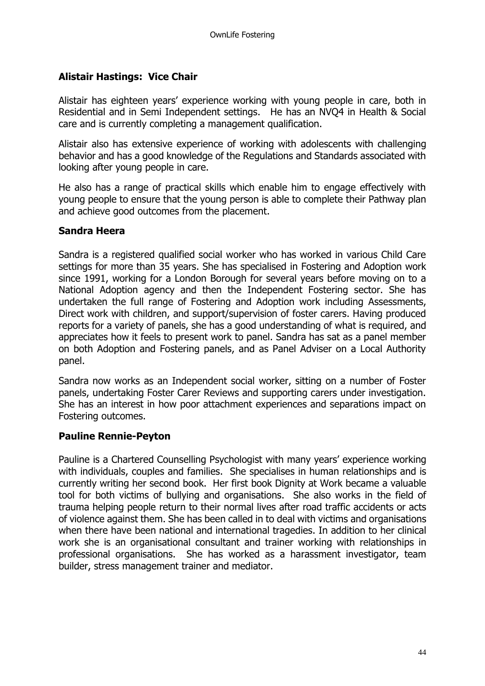## **Alistair Hastings: Vice Chair**

Alistair has eighteen years' experience working with young people in care, both in Residential and in Semi Independent settings. He has an NVQ4 in Health & Social care and is currently completing a management qualification.

Alistair also has extensive experience of working with adolescents with challenging behavior and has a good knowledge of the Regulations and Standards associated with looking after young people in care.

He also has a range of practical skills which enable him to engage effectively with young people to ensure that the young person is able to complete their Pathway plan and achieve good outcomes from the placement.

### **Sandra Heera**

Sandra is a registered qualified social worker who has worked in various Child Care settings for more than 35 years. She has specialised in Fostering and Adoption work since 1991, working for a London Borough for several years before moving on to a National Adoption agency and then the Independent Fostering sector. She has undertaken the full range of Fostering and Adoption work including Assessments, Direct work with children, and support/supervision of foster carers. Having produced reports for a variety of panels, she has a good understanding of what is required, and appreciates how it feels to present work to panel. Sandra has sat as a panel member on both Adoption and Fostering panels, and as Panel Adviser on a Local Authority panel.

Sandra now works as an Independent social worker, sitting on a number of Foster panels, undertaking Foster Carer Reviews and supporting carers under investigation. She has an interest in how poor attachment experiences and separations impact on Fostering outcomes.

## **Pauline Rennie-Peyton**

Pauline is a Chartered Counselling Psychologist with many years' experience working with individuals, couples and families. She specialises in human relationships and is currently writing her second book. Her first book Dignity at Work became a valuable tool for both victims of bullying and organisations. She also works in the field of trauma helping people return to their normal lives after road traffic accidents or acts of violence against them. She has been called in to deal with victims and organisations when there have been national and international tragedies. In addition to her clinical work she is an organisational consultant and trainer working with relationships in professional organisations. She has worked as a harassment investigator, team builder, stress management trainer and mediator.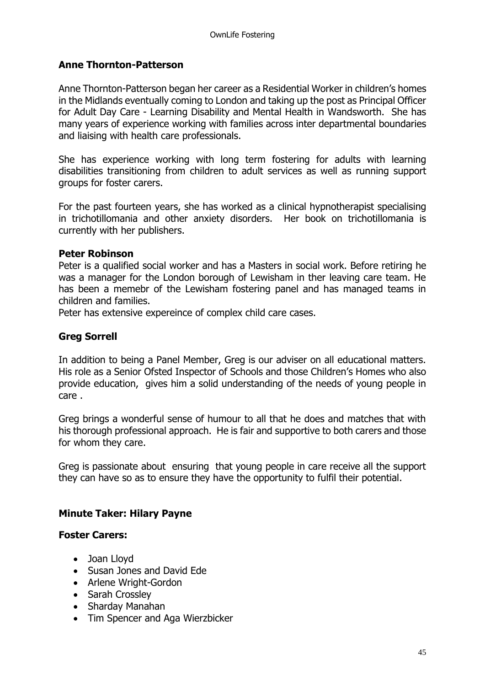## **Anne Thornton-Patterson**

Anne Thornton-Patterson began her career as a Residential Worker in children's homes in the Midlands eventually coming to London and taking up the post as Principal Officer for Adult Day Care - Learning Disability and Mental Health in Wandsworth. She has many years of experience working with families across inter departmental boundaries and liaising with health care professionals.

She has experience working with long term fostering for adults with learning disabilities transitioning from children to adult services as well as running support groups for foster carers.

For the past fourteen years, she has worked as a clinical hypnotherapist specialising in trichotillomania and other anxiety disorders. Her book on trichotillomania is currently with her publishers.

### **Peter Robinson**

Peter is a qualified social worker and has a Masters in social work. Before retiring he was a manager for the London borough of Lewisham in ther leaving care team. He has been a memebr of the Lewisham fostering panel and has managed teams in children and families.

Peter has extensive expereince of complex child care cases.

## **Greg Sorrell**

In addition to being a Panel Member, Greg is our adviser on all educational matters. His role as a Senior Ofsted Inspector of Schools and those Children's Homes who also provide education, gives him a solid understanding of the needs of young people in care .

Greg brings a wonderful sense of humour to all that he does and matches that with his thorough professional approach. He is fair and supportive to both carers and those for whom they care.

Greg is passionate about ensuring that young people in care receive all the support they can have so as to ensure they have the opportunity to fulfil their potential.

## **Minute Taker: Hilary Payne**

### **Foster Carers:**

- Joan Lloyd
- Susan Jones and David Ede
- Arlene Wright-Gordon
- Sarah Crossley
- Sharday Manahan
- Tim Spencer and Aga Wierzbicker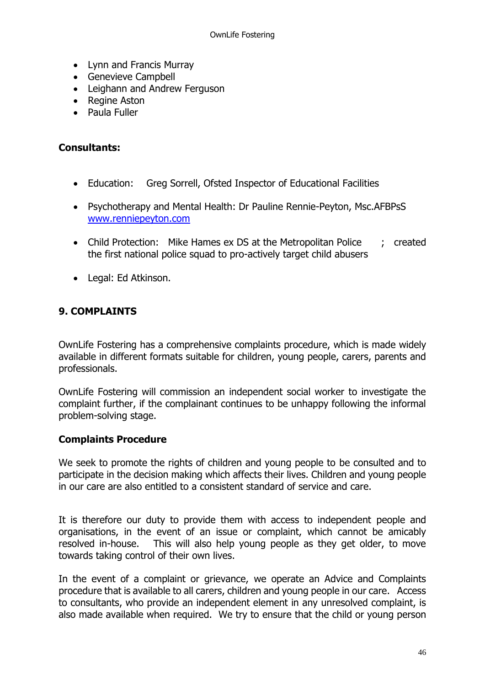- Lynn and Francis Murray
- Genevieve Campbell
- Leighann and Andrew Ferguson
- Regine Aston
- Paula Fuller

### **Consultants:**

- Education: Greg Sorrell, Ofsted Inspector of Educational Facilities
- Psychotherapy and Mental Health: Dr Pauline Rennie-Peyton, Msc.AFBPsS [www.renniepeyton.com](http://www.renniepeyton.com/)
- Child Protection: Mike Hames ex DS at the Metropolitan Police : created the first national police squad to pro-actively target child abusers
- Legal: Ed Atkinson.

## **9. COMPLAINTS**

OwnLife Fostering has a comprehensive complaints procedure, which is made widely available in different formats suitable for children, young people, carers, parents and professionals.

OwnLife Fostering will commission an independent social worker to investigate the complaint further, if the complainant continues to be unhappy following the informal problem-solving stage.

## **Complaints Procedure**

We seek to promote the rights of children and young people to be consulted and to participate in the decision making which affects their lives. Children and young people in our care are also entitled to a consistent standard of service and care.

It is therefore our duty to provide them with access to independent people and organisations, in the event of an issue or complaint, which cannot be amicably resolved in-house. This will also help young people as they get older, to move towards taking control of their own lives.

In the event of a complaint or grievance, we operate an Advice and Complaints procedure that is available to all carers, children and young people in our care. Access to consultants, who provide an independent element in any unresolved complaint, is also made available when required. We try to ensure that the child or young person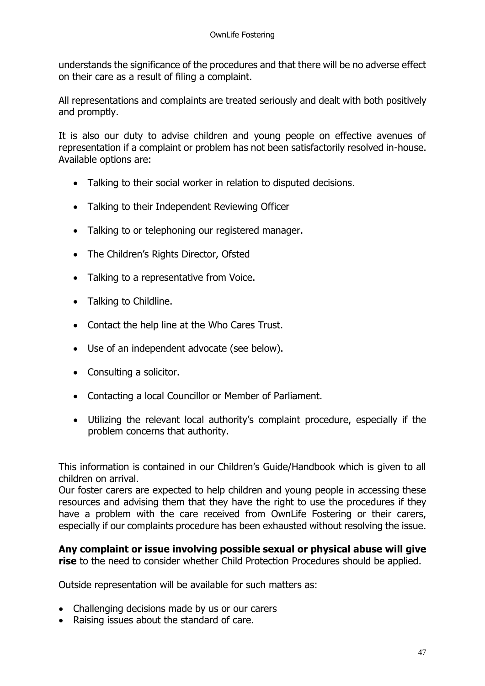understands the significance of the procedures and that there will be no adverse effect on their care as a result of filing a complaint.

All representations and complaints are treated seriously and dealt with both positively and promptly.

It is also our duty to advise children and young people on effective avenues of representation if a complaint or problem has not been satisfactorily resolved in-house. Available options are:

- Talking to their social worker in relation to disputed decisions.
- Talking to their Independent Reviewing Officer
- Talking to or telephoning our registered manager.
- The Children's Rights Director, Ofsted
- Talking to a representative from Voice.
- Talking to Childline.
- Contact the help line at the Who Cares Trust.
- Use of an independent advocate (see below).
- Consulting a solicitor.
- Contacting a local Councillor or Member of Parliament.
- Utilizing the relevant local authority's complaint procedure, especially if the problem concerns that authority.

This information is contained in our Children's Guide/Handbook which is given to all children on arrival.

Our foster carers are expected to help children and young people in accessing these resources and advising them that they have the right to use the procedures if they have a problem with the care received from OwnLife Fostering or their carers, especially if our complaints procedure has been exhausted without resolving the issue.

**Any complaint or issue involving possible sexual or physical abuse will give rise** to the need to consider whether Child Protection Procedures should be applied.

Outside representation will be available for such matters as:

- Challenging decisions made by us or our carers
- Raising issues about the standard of care.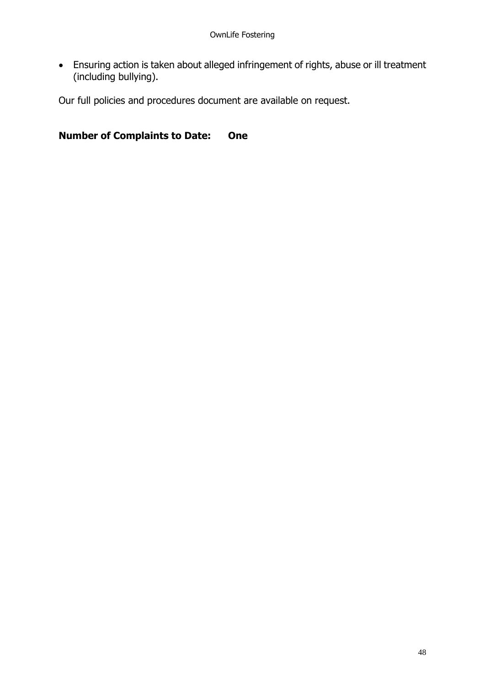• Ensuring action is taken about alleged infringement of rights, abuse or ill treatment (including bullying).

Our full policies and procedures document are available on request.

**Number of Complaints to Date: One**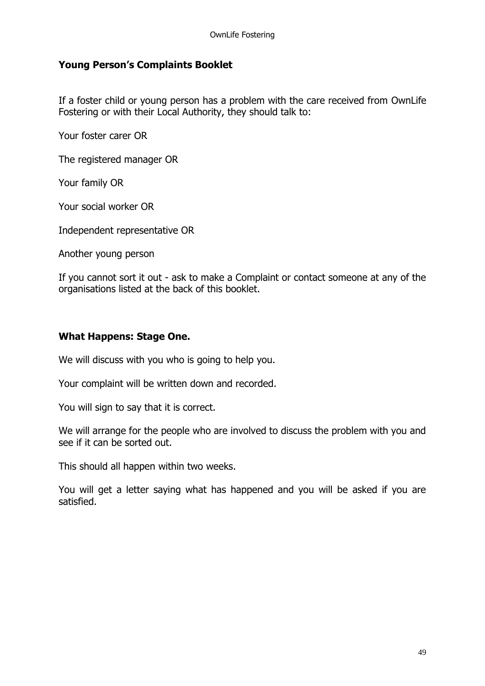## **Young Person's Complaints Booklet**

If a foster child or young person has a problem with the care received from OwnLife Fostering or with their Local Authority, they should talk to:

Your foster carer OR

The registered manager OR

Your family OR

Your social worker OR

Independent representative OR

Another young person

If you cannot sort it out - ask to make a Complaint or contact someone at any of the organisations listed at the back of this booklet.

### **What Happens: Stage One.**

We will discuss with you who is going to help you.

Your complaint will be written down and recorded.

You will sign to say that it is correct.

We will arrange for the people who are involved to discuss the problem with you and see if it can be sorted out.

This should all happen within two weeks.

You will get a letter saying what has happened and you will be asked if you are satisfied.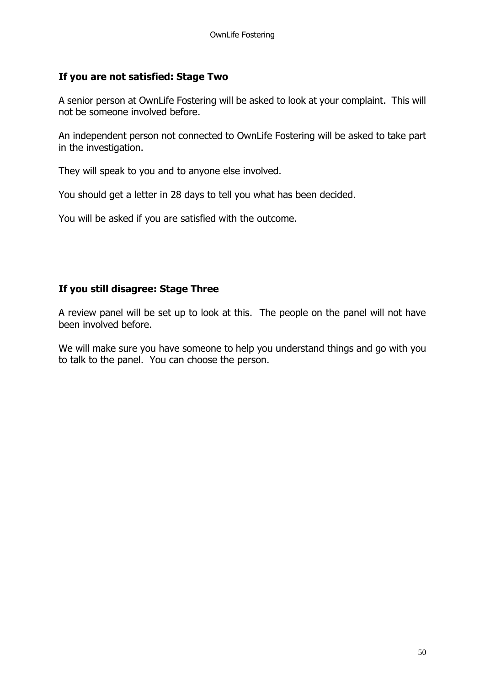## **If you are not satisfied: Stage Two**

A senior person at OwnLife Fostering will be asked to look at your complaint. This will not be someone involved before.

An independent person not connected to OwnLife Fostering will be asked to take part in the investigation.

They will speak to you and to anyone else involved.

You should get a letter in 28 days to tell you what has been decided.

You will be asked if you are satisfied with the outcome.

## **If you still disagree: Stage Three**

A review panel will be set up to look at this. The people on the panel will not have been involved before.

We will make sure you have someone to help you understand things and go with you to talk to the panel. You can choose the person.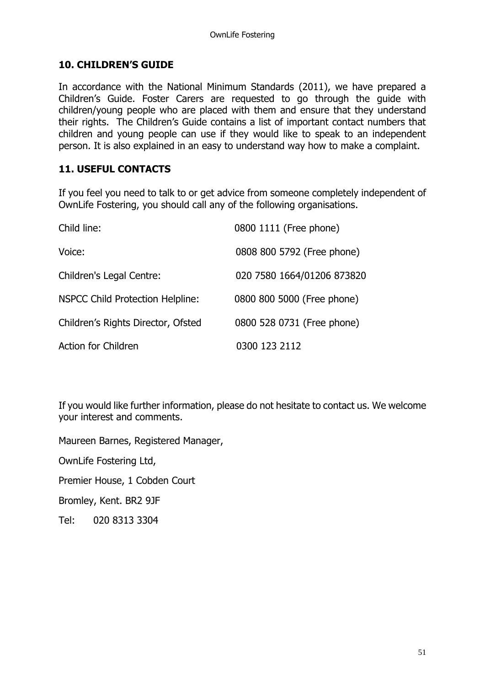## **10. CHILDREN'S GUIDE**

In accordance with the National Minimum Standards (2011), we have prepared a Children's Guide. Foster Carers are requested to go through the guide with children/young people who are placed with them and ensure that they understand their rights. The Children's Guide contains a list of important contact numbers that children and young people can use if they would like to speak to an independent person. It is also explained in an easy to understand way how to make a complaint.

## **11. USEFUL CONTACTS**

If you feel you need to talk to or get advice from someone completely independent of OwnLife Fostering, you should call any of the following organisations.

| Child line:                             | 0800 1111 (Free phone)     |
|-----------------------------------------|----------------------------|
| Voice:                                  | 0808 800 5792 (Free phone) |
| Children's Legal Centre:                | 020 7580 1664/01206 873820 |
| <b>NSPCC Child Protection Helpline:</b> | 0800 800 5000 (Free phone) |
| Children's Rights Director, Ofsted      | 0800 528 0731 (Free phone) |
| <b>Action for Children</b>              | 0300 123 2112              |

If you would like further information, please do not hesitate to contact us. We welcome your interest and comments.

Maureen Barnes, Registered Manager,

OwnLife Fostering Ltd,

Premier House, 1 Cobden Court

Bromley, Kent. BR2 9JF

Tel: 020 8313 3304